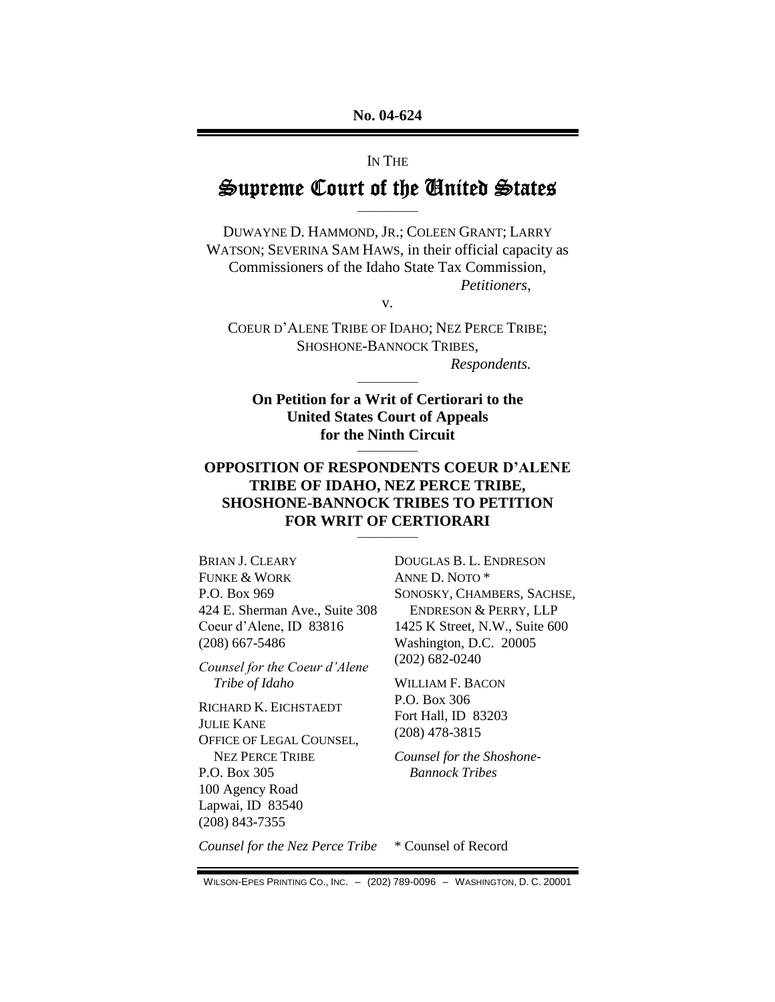### IN THE

# **Supreme Court of the United States** ————

DUWAYNE D. HAMMOND, JR.; COLEEN GRANT; LARRY WATSON; SEVERINA SAM HAWS, in their official capacity as Commissioners of the Idaho State Tax Commission, *Petitioners*,

v.

COEUR D'ALENE TRIBE OF IDAHO; NEZ PERCE TRIBE; SHOSHONE-BANNOCK TRIBES,

————

*Respondents.*

**On Petition for a Writ of Certiorari to the United States Court of Appeals for the Ninth Circuit** ————

### **OPPOSITION OF RESPONDENTS COEUR D'ALENE TRIBE OF IDAHO, NEZ PERCE TRIBE, SHOSHONE-BANNOCK TRIBES TO PETITION FOR WRIT OF CERTIORARI** ————

BRIAN J. CLEARY FUNKE & WORK P.O. Box 969 424 E. Sherman Ave., Suite 308 Coeur d'Alene, ID 83816 (208) 667-5486

*Counsel for the Coeur d'Alene Tribe of Idaho*

RICHARD K. EICHSTAEDT JULIE KANE OFFICE OF LEGAL COUNSEL, NEZ PERCE TRIBE P.O. Box 305 100 Agency Road Lapwai, ID 83540 (208) 843-7355

DOUGLAS B. L. ENDRESON ANNE D. NOTO \* SONOSKY, CHAMBERS, SACHSE, ENDRESON & PERRY, LLP 1425 K Street, N.W., Suite 600 Washington, D.C. 20005 (202) 682-0240

WILLIAM F. BACON P.O. Box 306 Fort Hall, ID 83203 (208) 478-3815

*Counsel for the Shoshone-Bannock Tribes*

*Counsel for the Nez Perce Tribe* \* Counsel of Record

WILSON-EPES PRINTING CO., INC. – (202) 789-0096 – WASHINGTON, D. C. 20001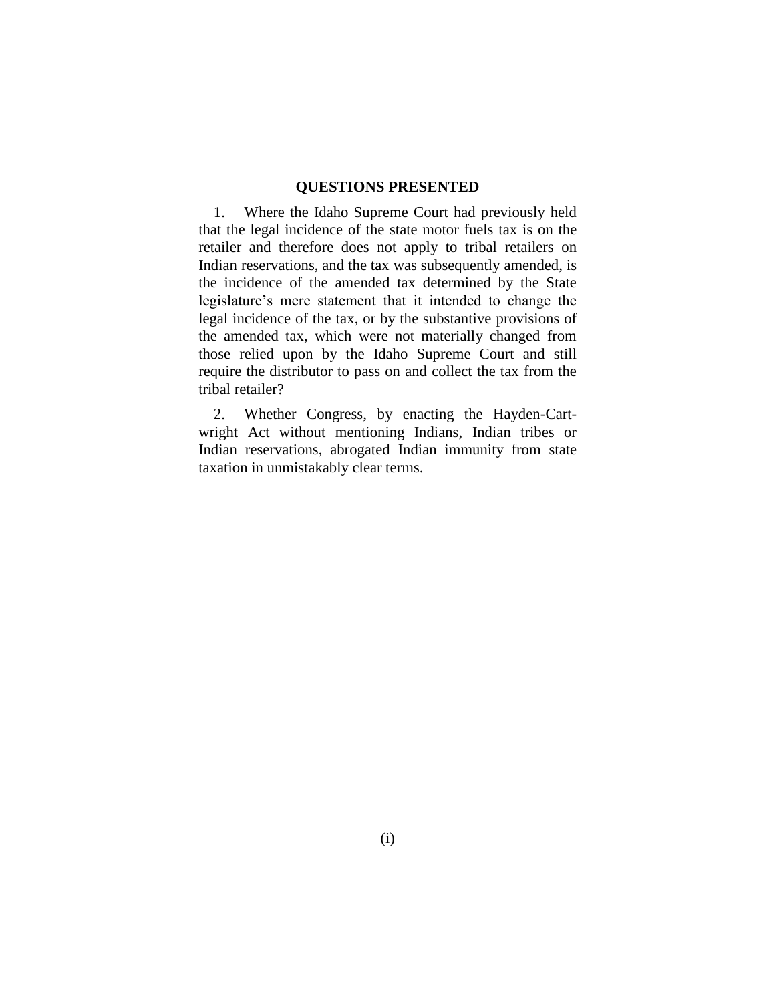#### **QUESTIONS PRESENTED**

1. Where the Idaho Supreme Court had previously held that the legal incidence of the state motor fuels tax is on the retailer and therefore does not apply to tribal retailers on Indian reservations, and the tax was subsequently amended, is the incidence of the amended tax determined by the State legislature's mere statement that it intended to change the legal incidence of the tax, or by the substantive provisions of the amended tax, which were not materially changed from those relied upon by the Idaho Supreme Court and still require the distributor to pass on and collect the tax from the tribal retailer?

2. Whether Congress, by enacting the Hayden-Cartwright Act without mentioning Indians, Indian tribes or Indian reservations, abrogated Indian immunity from state taxation in unmistakably clear terms.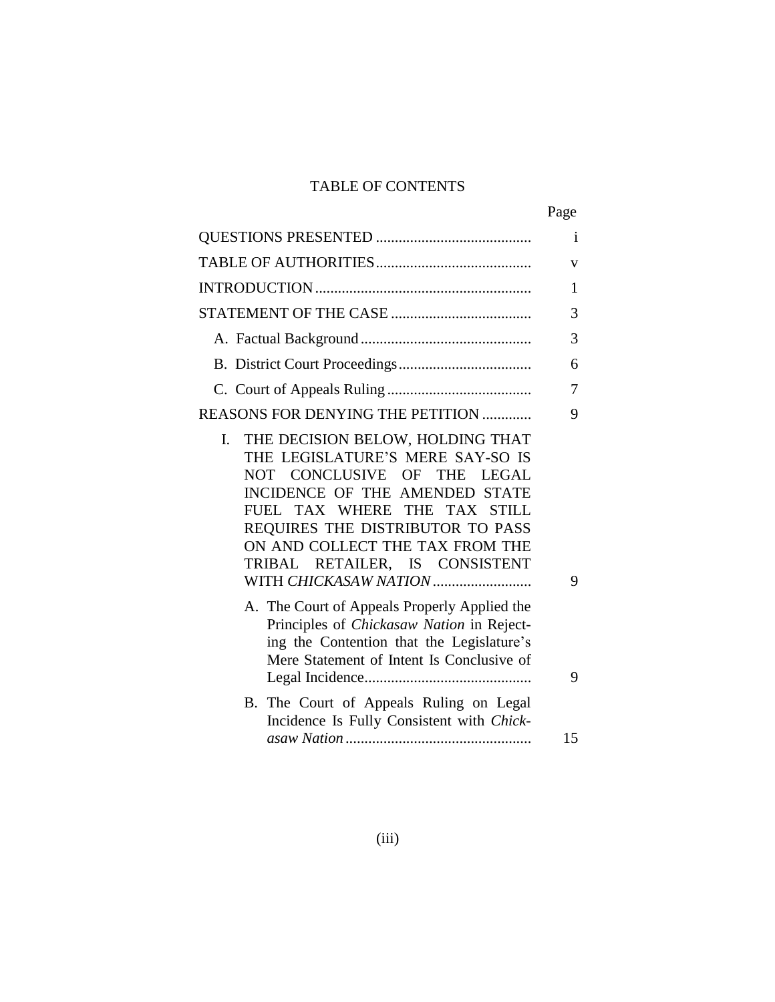# TABLE OF CONTENTS

|                                                                                                                                                                                                                                                                                                               | Page |
|---------------------------------------------------------------------------------------------------------------------------------------------------------------------------------------------------------------------------------------------------------------------------------------------------------------|------|
|                                                                                                                                                                                                                                                                                                               | i    |
|                                                                                                                                                                                                                                                                                                               | v    |
|                                                                                                                                                                                                                                                                                                               | 1    |
|                                                                                                                                                                                                                                                                                                               | 3    |
|                                                                                                                                                                                                                                                                                                               | 3    |
|                                                                                                                                                                                                                                                                                                               | 6    |
|                                                                                                                                                                                                                                                                                                               | 7    |
| REASONS FOR DENYING THE PETITION                                                                                                                                                                                                                                                                              | 9    |
| THE DECISION BELOW, HOLDING THAT<br>I.<br>THE LEGISLATURE'S MERE SAY-SO IS<br>NOT CONCLUSIVE OF THE LEGAL<br>INCIDENCE OF THE AMENDED STATE<br>FUEL TAX WHERE THE TAX STILL<br>REQUIRES THE DISTRIBUTOR TO PASS<br>ON AND COLLECT THE TAX FROM THE<br>TRIBAL RETAILER, IS CONSISTENT<br>WITH CHICKASAW NATION | 9    |
| A. The Court of Appeals Properly Applied the<br>Principles of Chickasaw Nation in Reject-<br>ing the Contention that the Legislature's<br>Mere Statement of Intent Is Conclusive of                                                                                                                           | 9    |
| B. The Court of Appeals Ruling on Legal<br>Incidence Is Fully Consistent with Chick-                                                                                                                                                                                                                          | 15   |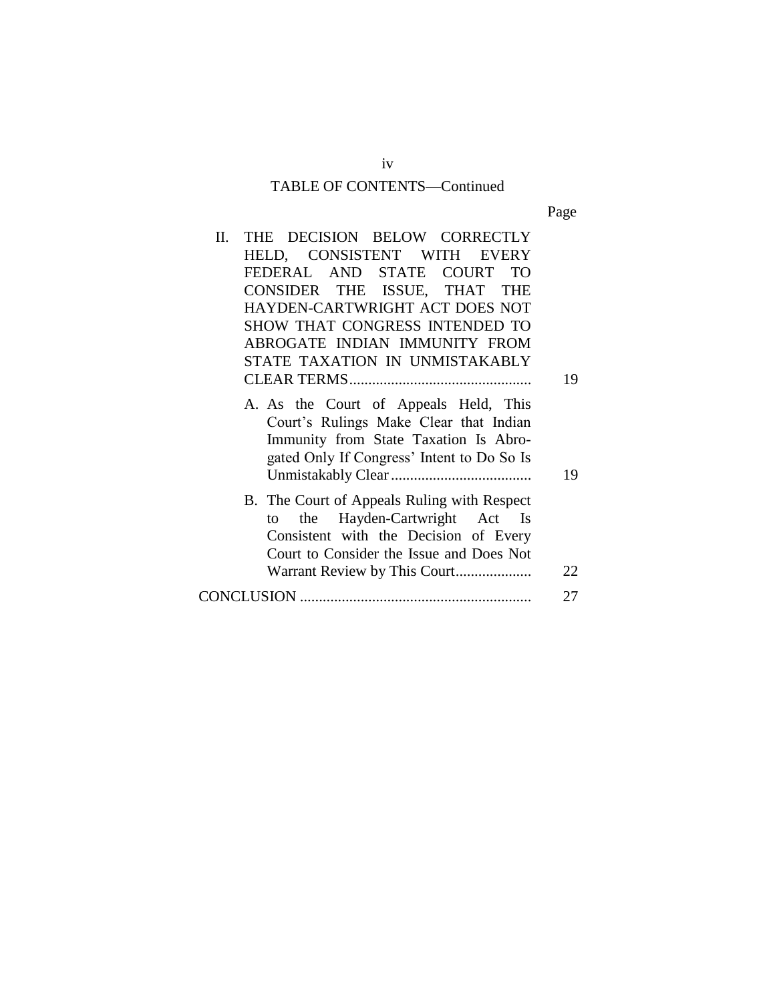# TABLE OF CONTENTS—Continued

Page

| П. | THE DECISION BELOW CORRECTLY                                                                                                                                           |    |
|----|------------------------------------------------------------------------------------------------------------------------------------------------------------------------|----|
|    | HELD, CONSISTENT WITH EVERY                                                                                                                                            |    |
|    | FEDERAL AND STATE COURT TO                                                                                                                                             |    |
|    | CONSIDER THE ISSUE, THAT THE                                                                                                                                           |    |
|    | HAYDEN-CARTWRIGHT ACT DOES NOT                                                                                                                                         |    |
|    | SHOW THAT CONGRESS INTENDED TO                                                                                                                                         |    |
|    | ABROGATE INDIAN IMMUNITY FROM                                                                                                                                          |    |
|    | STATE TAXATION IN UNMISTAKABLY                                                                                                                                         |    |
|    |                                                                                                                                                                        | 19 |
|    | A. As the Court of Appeals Held, This<br>Court's Rulings Make Clear that Indian<br>Immunity from State Taxation Is Abro-<br>gated Only If Congress' Intent to Do So Is | 19 |
|    | B. The Court of Appeals Ruling with Respect<br>the Hayden-Cartwright Act Is<br>to<br>Consistent with the Decision of Every<br>Court to Consider the Issue and Does Not | 22 |
|    |                                                                                                                                                                        | 27 |
|    |                                                                                                                                                                        |    |

iv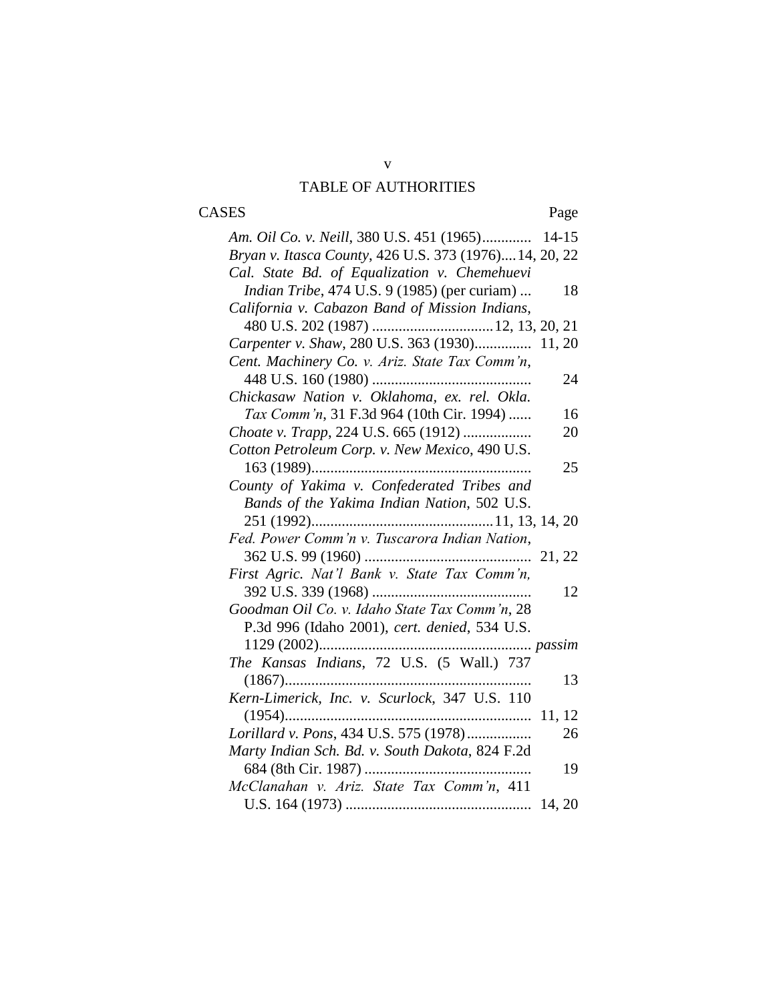# v TABLE OF AUTHORITIES

# CASES Page

| Am. Oil Co. v. Neill, 380 U.S. 451 (1965) 14-15            |
|------------------------------------------------------------|
| Bryan v. Itasca County, 426 U.S. 373 (1976) 14, 20, 22     |
| Cal. State Bd. of Equalization v. Chemehuevi               |
| <i>Indian Tribe</i> , 474 U.S. 9 (1985) (per curiam)<br>18 |
| California v. Cabazon Band of Mission Indians,             |
|                                                            |
| Carpenter v. Shaw, 280 U.S. 363 (1930) 11, 20              |
| Cent. Machinery Co. v. Ariz. State Tax Comm'n,             |
| 24                                                         |
| Chickasaw Nation v. Oklahoma, ex. rel. Okla.               |
| Tax Comm'n, 31 F.3d 964 (10th Cir. 1994)<br>16             |
| Choate v. Trapp, 224 U.S. 665 (1912)<br>20                 |
| Cotton Petroleum Corp. v. New Mexico, 490 U.S.             |
| 25                                                         |
| County of Yakima v. Confederated Tribes and                |
| Bands of the Yakima Indian Nation, 502 U.S.                |
|                                                            |
| Fed. Power Comm'n v. Tuscarora Indian Nation,              |
|                                                            |
| First Agric. Nat'l Bank v. State Tax Comm'n,               |
| 12                                                         |
| Goodman Oil Co. v. Idaho State Tax Comm'n, 28              |
| P.3d 996 (Idaho 2001), cert. denied, 534 U.S.              |
|                                                            |
| The Kansas Indians, 72 U.S. (5 Wall.) 737                  |
| 13                                                         |
| Kern-Limerick, Inc. v. Scurlock, 347 U.S. 110              |
|                                                            |
| Lorillard v. Pons, 434 U.S. 575 (1978)<br>26               |
| Marty Indian Sch. Bd. v. South Dakota, 824 F.2d            |
| 19                                                         |
| McClanahan v. Ariz. State Tax Comm'n, 411                  |
|                                                            |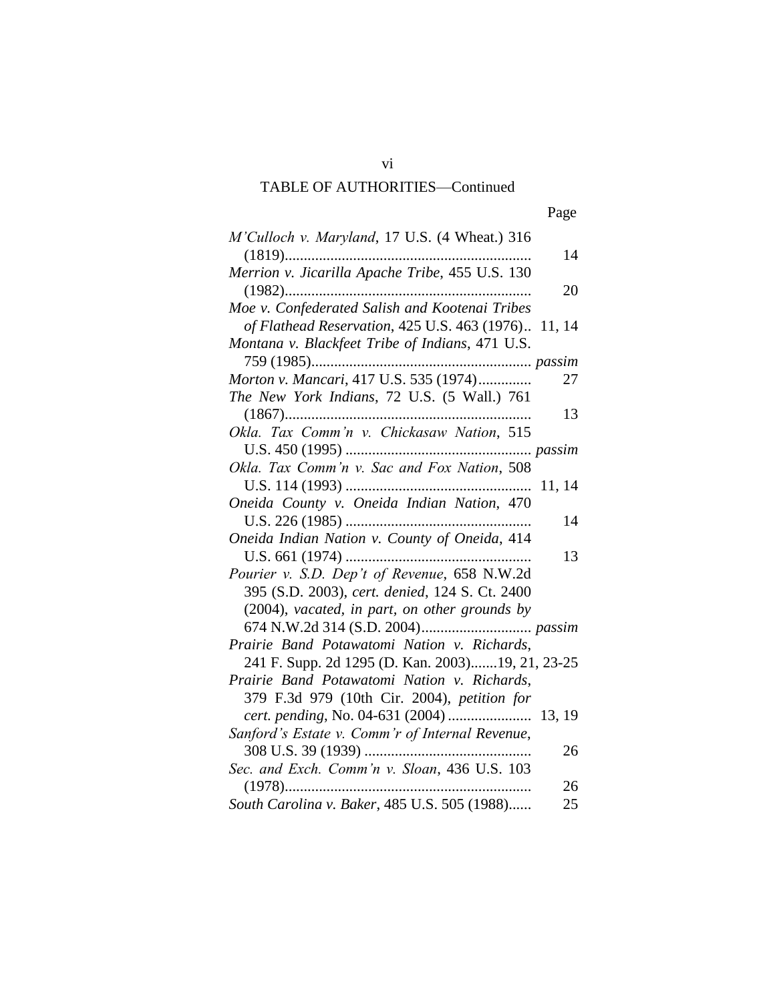# TABLE OF AUTHORITIES—Continued

vi

| ۰. |
|----|
|----|

| M'Culloch v. Maryland, 17 U.S. (4 Wheat.) 316       |
|-----------------------------------------------------|
| 14                                                  |
| Merrion v. Jicarilla Apache Tribe, 455 U.S. 130     |
| 20                                                  |
| Moe v. Confederated Salish and Kootenai Tribes      |
| of Flathead Reservation, 425 U.S. 463 (1976) 11, 14 |
| Montana v. Blackfeet Tribe of Indians, 471 U.S.     |
|                                                     |
| Morton v. Mancari, 417 U.S. 535 (1974)<br>27        |
| The New York Indians, 72 U.S. (5 Wall.) 761         |
| 13                                                  |
| Okla. Tax Comm'n v. Chickasaw Nation, 515           |
|                                                     |
| Okla. Tax Comm'n v. Sac and Fox Nation, 508         |
| 11, 14                                              |
| Oneida County v. Oneida Indian Nation, 470          |
| 14                                                  |
| Oneida Indian Nation v. County of Oneida, 414       |
| 13                                                  |
| Pourier v. S.D. Dep't of Revenue, 658 N.W.2d        |
| 395 (S.D. 2003), cert. denied, 124 S. Ct. 2400      |
| (2004), vacated, in part, on other grounds by       |
|                                                     |
| Prairie Band Potawatomi Nation v. Richards,         |
| 241 F. Supp. 2d 1295 (D. Kan. 2003)19, 21, 23-25    |
| Prairie Band Potawatomi Nation v. Richards,         |
| 379 F.3d 979 (10th Cir. 2004), petition for         |
| cert. pending, No. 04-631 (2004)  13, 19            |
| Sanford's Estate v. Comm'r of Internal Revenue,     |
| 26                                                  |
| Sec. and Exch. Comm'n v. Sloan, 436 U.S. 103        |
| $(1978)$<br>26                                      |
| South Carolina v. Baker, 485 U.S. 505 (1988)<br>25  |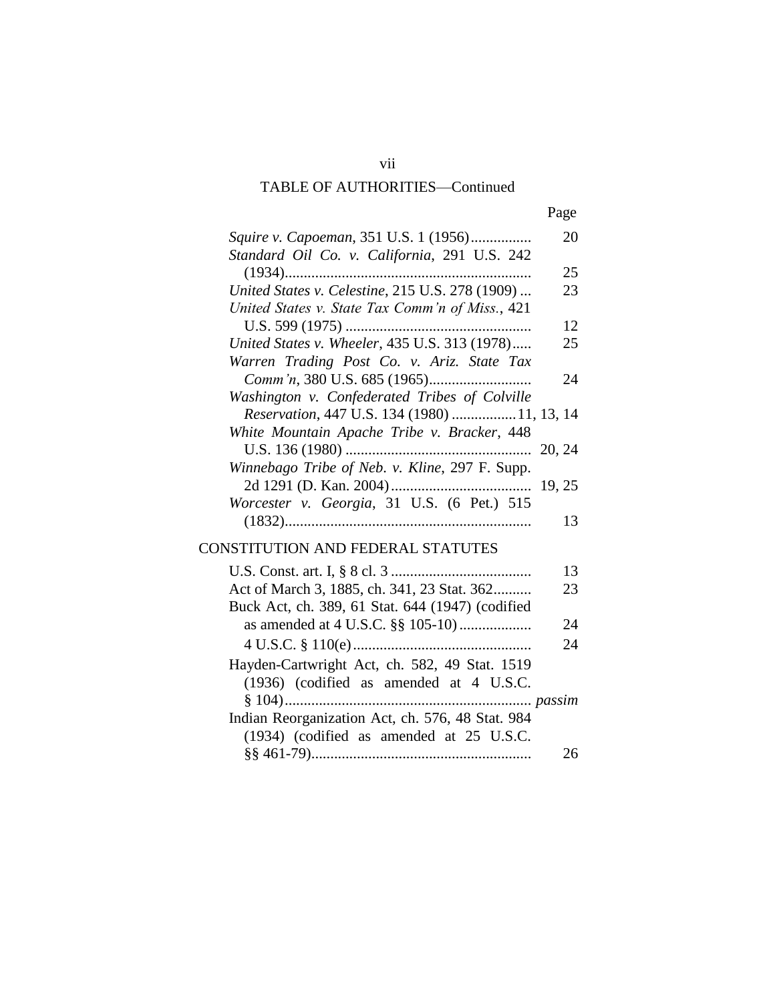# TABLE OF AUTHORITIES—Continued

| ۰. |
|----|
|----|

| Squire v. Capoeman, 351 U.S. 1 (1956)            | 20     |
|--------------------------------------------------|--------|
| Standard Oil Co. v. California, 291 U.S. 242     | 25     |
| United States v. Celestine, 215 U.S. 278 (1909)  | 23     |
| United States v. State Tax Comm'n of Miss., 421  |        |
|                                                  | 12     |
| United States v. Wheeler, 435 U.S. 313 (1978)    | 25     |
| Warren Trading Post Co. v. Ariz. State Tax       |        |
|                                                  | 24     |
| Washington v. Confederated Tribes of Colville    |        |
| Reservation, 447 U.S. 134 (1980) 11, 13, 14      |        |
| White Mountain Apache Tribe v. Bracker, 448      |        |
|                                                  | 20, 24 |
| Winnebago Tribe of Neb. v. Kline, 297 F. Supp.   |        |
|                                                  |        |
| Worcester v. Georgia, 31 U.S. (6 Pet.) 515       |        |
|                                                  | 13     |
| CONSTITUTION AND FEDERAL STATUTES                |        |
|                                                  | 13     |
| Act of March 3, 1885, ch. 341, 23 Stat. 362      | 23     |
| Buck Act, ch. 389, 61 Stat. 644 (1947) (codified |        |
|                                                  | 24     |
|                                                  | 24     |
| Hayden-Cartwright Act, ch. 582, 49 Stat. 1519    |        |
| (1936) (codified as amended at 4 U.S.C.          |        |
|                                                  |        |
| Indian Reorganization Act, ch. 576, 48 Stat. 984 |        |
| (1934) (codified as amended at 25 U.S.C.         |        |
|                                                  | 26     |
|                                                  |        |

vii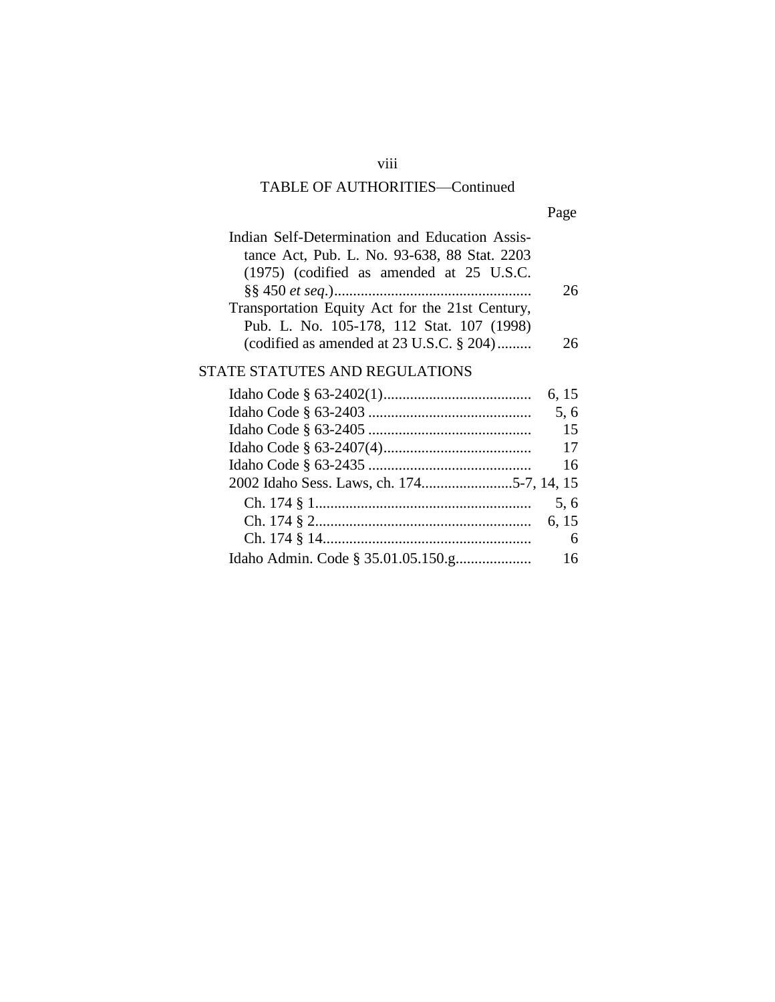# TABLE OF AUTHORITIES—Continued

| ۰. |
|----|
|----|

| Indian Self-Determination and Education Assis-  |    |
|-------------------------------------------------|----|
| tance Act, Pub. L. No. 93-638, 88 Stat. 2203    |    |
| (1975) (codified as amended at 25 U.S.C.        |    |
|                                                 | 26 |
| Transportation Equity Act for the 21st Century, |    |
| Pub. L. No. 105-178, 112 Stat. 107 (1998)       |    |
| (codified as amended at $23$ U.S.C. $\S 204$ )  | ንፉ |

# STATE STATUTES AND REGULATIONS

| 6, 15 |
|-------|
| 5.6   |
| 15    |
| 17    |
| 16    |
|       |
| 5.6   |
|       |
| 6     |
| 16    |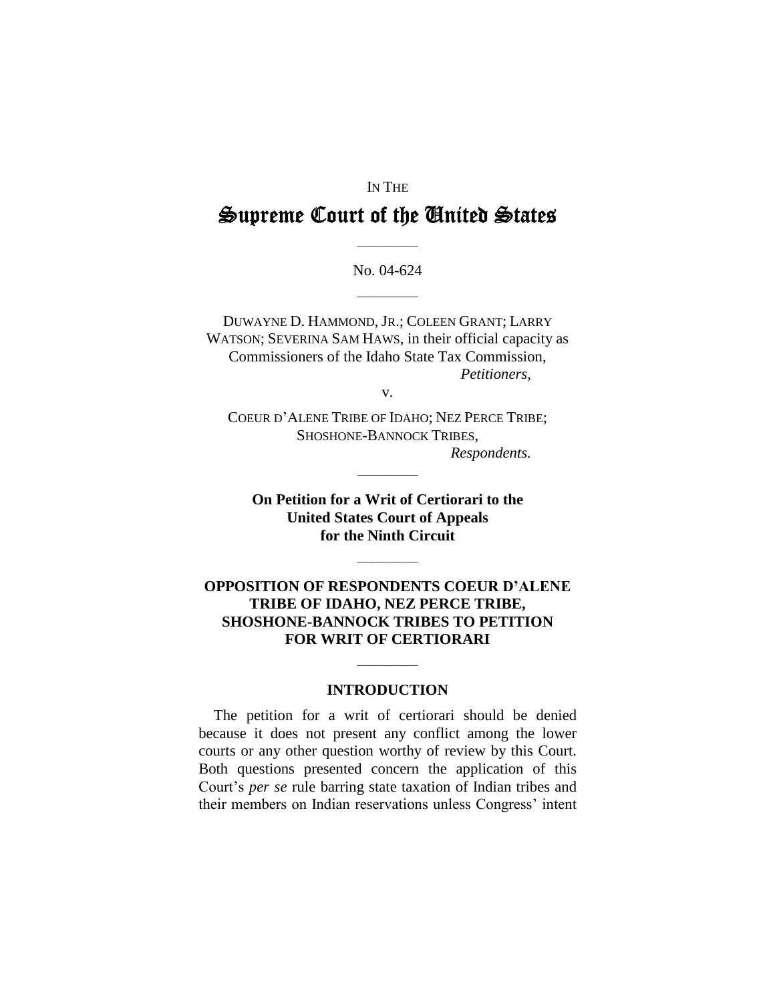### IN THE

# **Supreme Court of the United States**

No. 04-624

————

————

DUWAYNE D. HAMMOND, JR.; COLEEN GRANT; LARRY WATSON; SEVERINA SAM HAWS, in their official capacity as Commissioners of the Idaho State Tax Commission, *Petitioners*,

v.

COEUR D'ALENE TRIBE OF IDAHO; NEZ PERCE TRIBE; SHOSHONE-BANNOCK TRIBES, *Respondents.*

————

**On Petition for a Writ of Certiorari to the United States Court of Appeals for the Ninth Circuit**

————

### **OPPOSITION OF RESPONDENTS COEUR D'ALENE TRIBE OF IDAHO, NEZ PERCE TRIBE, SHOSHONE-BANNOCK TRIBES TO PETITION FOR WRIT OF CERTIORARI**

### **INTRODUCTION**

————

The petition for a writ of certiorari should be denied because it does not present any conflict among the lower courts or any other question worthy of review by this Court. Both questions presented concern the application of this Court's*per se* rule barring state taxation of Indian tribes and their members on Indian reservations unless Congress' intent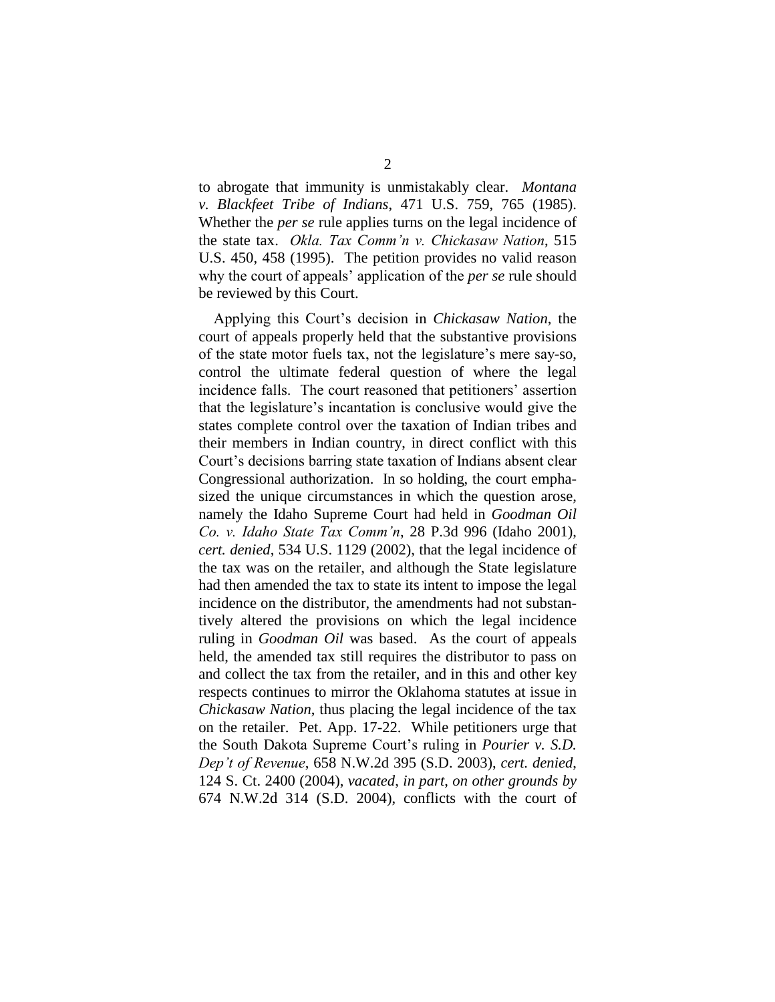to abrogate that immunity is unmistakably clear. *Montana v. Blackfeet Tribe of Indians*, 471 U.S. 759, 765 (1985). Whether the *per se* rule applies turns on the legal incidence of the state tax. *Okla. Tax Comm'n v. Chickasaw Nation*, 515 U.S. 450, 458 (1995). The petition provides no valid reason why the court of appeals' application of the *per se* rule should be reviewed by this Court.

Applying this Court's decision in *Chickasaw Nation*, the court of appeals properly held that the substantive provisions of the state motor fuels tax, not the legislature's mere say-so, control the ultimate federal question of where the legal incidence falls. The court reasoned that petitioners' assertion that the legislature's incantation is conclusive would give the states complete control over the taxation of Indian tribes and their members in Indian country, in direct conflict with this Court's decisions barring state taxation of Indians absent clear Congressional authorization. In so holding, the court emphasized the unique circumstances in which the question arose, namely the Idaho Supreme Court had held in *Goodman Oil Co.v.IdahoStateTaxComm'n*, 28 P.3d 996 (Idaho 2001), *cert. denied*, 534 U.S. 1129 (2002), that the legal incidence of the tax was on the retailer, and although the State legislature had then amended the tax to state its intent to impose the legal incidence on the distributor, the amendments had not substantively altered the provisions on which the legal incidence ruling in *Goodman Oil* was based. As the court of appeals held, the amended tax still requires the distributor to pass on and collect the tax from the retailer, and in this and other key respects continues to mirror the Oklahoma statutes at issue in *Chickasaw Nation*, thus placing the legal incidence of the tax on the retailer. Pet. App. 17-22. While petitioners urge that the South Dakota Supreme Court's ruling in *Pourier v. S.D. Dep'tofRevenue*, 658 N.W.2d 395 (S.D. 2003), *cert. denied*, 124 S. Ct. 2400 (2004), *vacated*, *in part*, *on other grounds by* 674 N.W.2d 314 (S.D. 2004), conflicts with the court of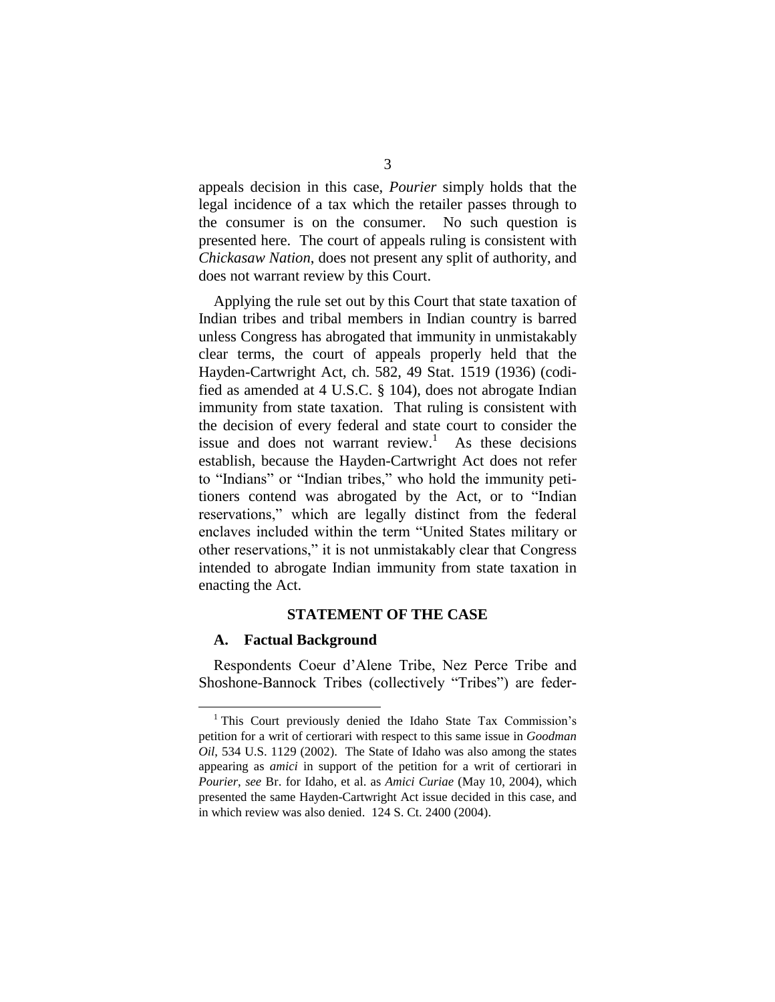appeals decision in this case, *Pourier* simply holds that the legal incidence of a tax which the retailer passes through to the consumer is on the consumer. No such question is presented here. The court of appeals ruling is consistent with *Chickasaw Nation*, does not present any split of authority, and does not warrant review by this Court.

Applying the rule set out by this Court that state taxation of Indian tribes and tribal members in Indian country is barred unless Congress has abrogated that immunity in unmistakably clear terms, the court of appeals properly held that the Hayden-Cartwright Act, ch. 582, 49 Stat. 1519 (1936) (codified as amended at 4 U.S.C. § 104), does not abrogate Indian immunity from state taxation. That ruling is consistent with the decision of every federal and state court to consider the issue and does not warrant review.<sup>1</sup> As these decisions establish, because the Hayden-Cartwright Act does not refer to "Indians" or "Indian tribes," who hold the immunity petitioners contend was abrogated by the Act, or to "Indian reservations," which are legally distinct from the federal enclaves included within the term "United States military or other reservations," it is not unmistakably clear that Congress intended to abrogate Indian immunity from state taxation in enacting the Act.

#### **STATEMENT OF THE CASE**

#### **A. Factual Background**

Respondents Coeur d'Alene Tribe, Nez Perce Tribe and Shoshone-Bannock Tribes (collectively "Tribes") are feder-

<sup>&</sup>lt;sup>1</sup> This Court previously denied the Idaho State Tax Commission's petition for a writ of certiorari with respect to this same issue in *Goodman Oil*, 534 U.S. 1129 (2002). The State of Idaho was also among the states appearing as *amici* in support of the petition for a writ of certiorari in *Pourier*, *see* Br. for Idaho, et al. as *Amici Curiae* (May 10, 2004), which presented the same Hayden-Cartwright Act issue decided in this case, and in which review was also denied. 124 S. Ct. 2400 (2004).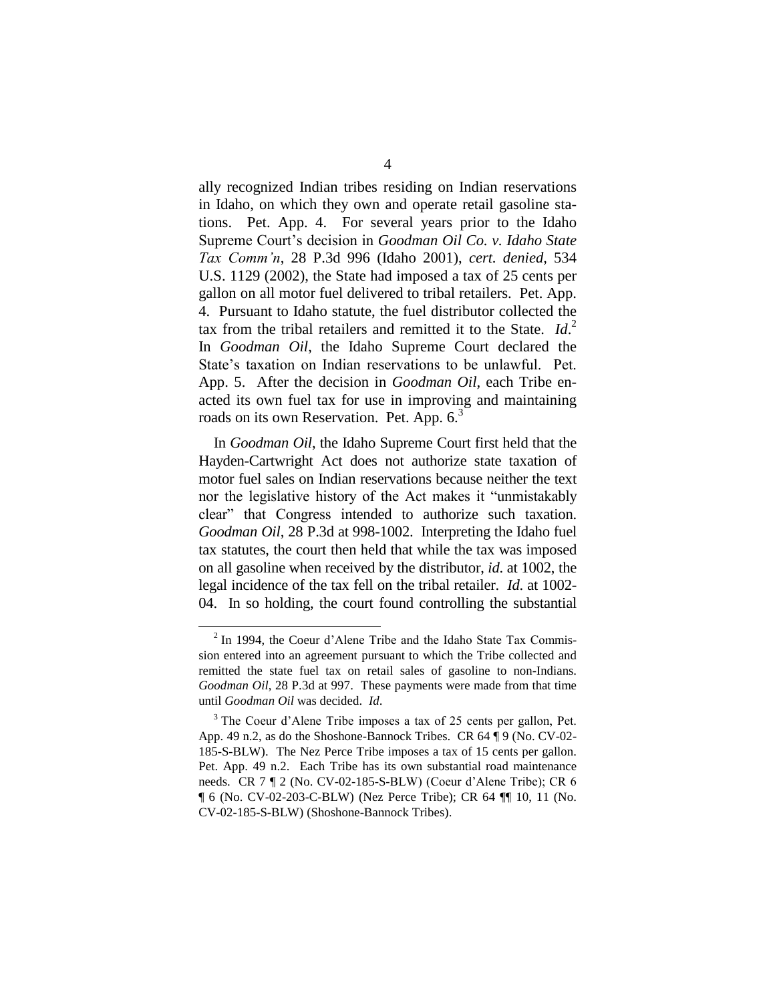ally recognized Indian tribes residing on Indian reservations in Idaho, on which they own and operate retail gasoline stations. Pet. App. 4. For several years prior to the Idaho Supreme Court's decision in *Goodman Oil Co. v. Idaho State TaxComm'n*, 28 P.3d 996 (Idaho 2001), *cert. denied,* 534 U.S. 1129 (2002), the State had imposed a tax of 25 cents per gallon on all motor fuel delivered to tribal retailers. Pet. App. 4. Pursuant to Idaho statute, the fuel distributor collected the tax from the tribal retailers and remitted it to the State. *Id*. 2 In *Goodman Oil*, the Idaho Supreme Court declared the State's taxation on Indian reservations to be unlawful. Pet. App. 5. After the decision in *Goodman Oil*, each Tribe enacted its own fuel tax for use in improving and maintaining roads on its own Reservation. Pet. App.  $6<sup>3</sup>$ 

In *Goodman Oil*, the Idaho Supreme Court first held that the Hayden-Cartwright Act does not authorize state taxation of motor fuel sales on Indian reservations because neither the text nor the legislative history of the Act makes it "unmistakably" clear" that Congress intended to authorize such taxation. *Goodman Oil*, 28 P.3d at 998-1002. Interpreting the Idaho fuel tax statutes, the court then held that while the tax was imposed on all gasoline when received by the distributor, *id*. at 1002, the legal incidence of the tax fell on the tribal retailer. *Id*. at 1002- 04. In so holding, the court found controlling the substantial

 $2$  In 1994, the Coeur d'Alene Tribe and the Idaho State Tax Commission entered into an agreement pursuant to which the Tribe collected and remitted the state fuel tax on retail sales of gasoline to non-Indians. *Goodman Oil*, 28 P.3d at 997. These payments were made from that time until *Goodman Oil* was decided. *Id*.

 $3$  The Coeur d'Alene Tribe imposes a tax of 25 cents per gallon, Pet. App. 49 n.2, as do the Shoshone-Bannock Tribes. CR 64 ¶ 9 (No. CV-02- 185-S-BLW). The Nez Perce Tribe imposes a tax of 15 cents per gallon. Pet. App. 49 n.2. Each Tribe has its own substantial road maintenance needs. CR  $7 \text{ } \text{T}$  2 (No. CV-02-185-S-BLW) (Coeur d'Alene Tribe); CR 6 ¶ 6 (No. CV-02-203-C-BLW) (Nez Perce Tribe); CR 64 ¶¶ 10, 11 (No. CV-02-185-S-BLW) (Shoshone-Bannock Tribes).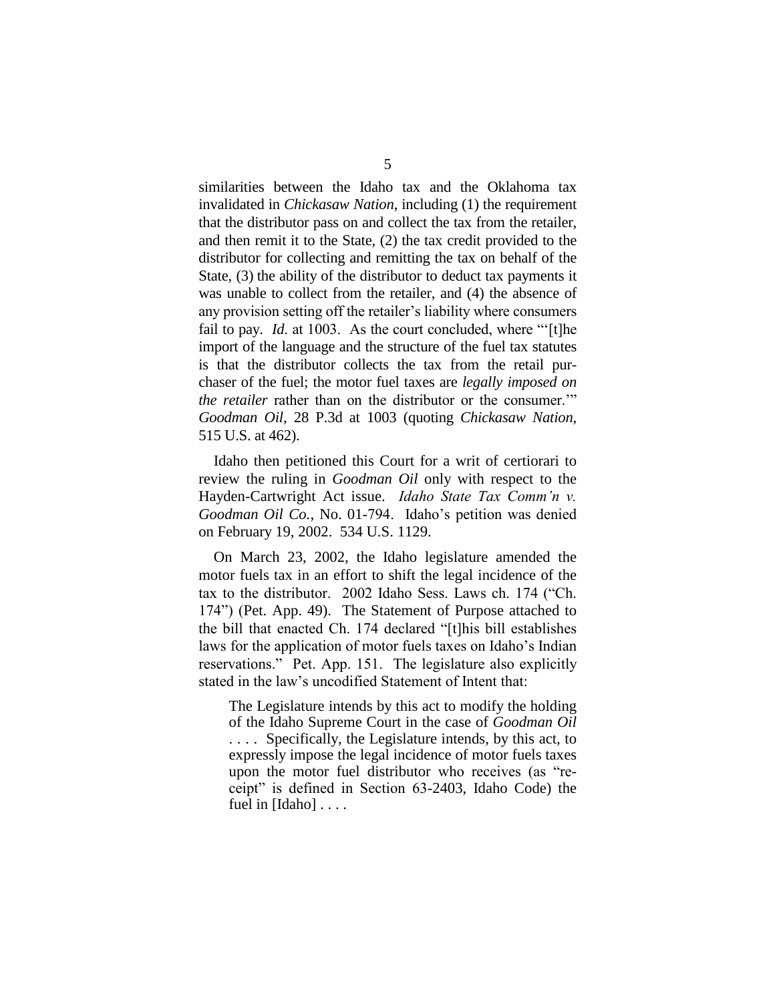similarities between the Idaho tax and the Oklahoma tax invalidated in *Chickasaw Nation*, including (1) the requirement that the distributor pass on and collect the tax from the retailer, and then remit it to the State, (2) the tax credit provided to the distributor for collecting and remitting the tax on behalf of the State, (3) the ability of the distributor to deduct tax payments it was unable to collect from the retailer, and (4) the absence of any provision setting off the retailer's liability where consumers fail to pay. *Id.* at 1003. As the court concluded, where "'[t]he import of the language and the structure of the fuel tax statutes is that the distributor collects the tax from the retail purchaser of the fuel; the motor fuel taxes are *legally imposed on the retailer* rather than on the distributor or the consumer." *Goodman Oil*, 28 P.3d at 1003 (quoting *Chickasaw Nation*, 515 U.S. at 462).

Idaho then petitioned this Court for a writ of certiorari to review the ruling in *Goodman Oil* only with respect to the Hayden-Cartwright Act issue. *Idaho State Tax Comm'n v*. *Goodman Oil Co.*, No. 01-794. Idaho's petition was denied on February 19, 2002. 534 U.S. 1129.

On March 23, 2002, the Idaho legislature amended the motor fuels tax in an effort to shift the legal incidence of the tax to the distributor. 2002 Idaho Sess. Laws ch. 174 ("Ch. 174")(Pet. App. 49). The Statement of Purpose attached to the bill that enacted Ch. 174 declared "[t]his bill establishes laws for the application of motor fuels taxes on Idaho's Indian reservations." Pet. App. 151. The legislature also explicitly stated in the law's uncodified Statement of Intent that:

The Legislature intends by this act to modify the holding of the Idaho Supreme Court in the case of *Goodman Oil* . . . . Specifically, the Legislature intends, by this act, to expressly impose the legal incidence of motor fuels taxes upon the motor fuel distributor who receives (as "receipt" is defined in Section 63-2403, Idaho Code) the fuel in [Idaho] . . . .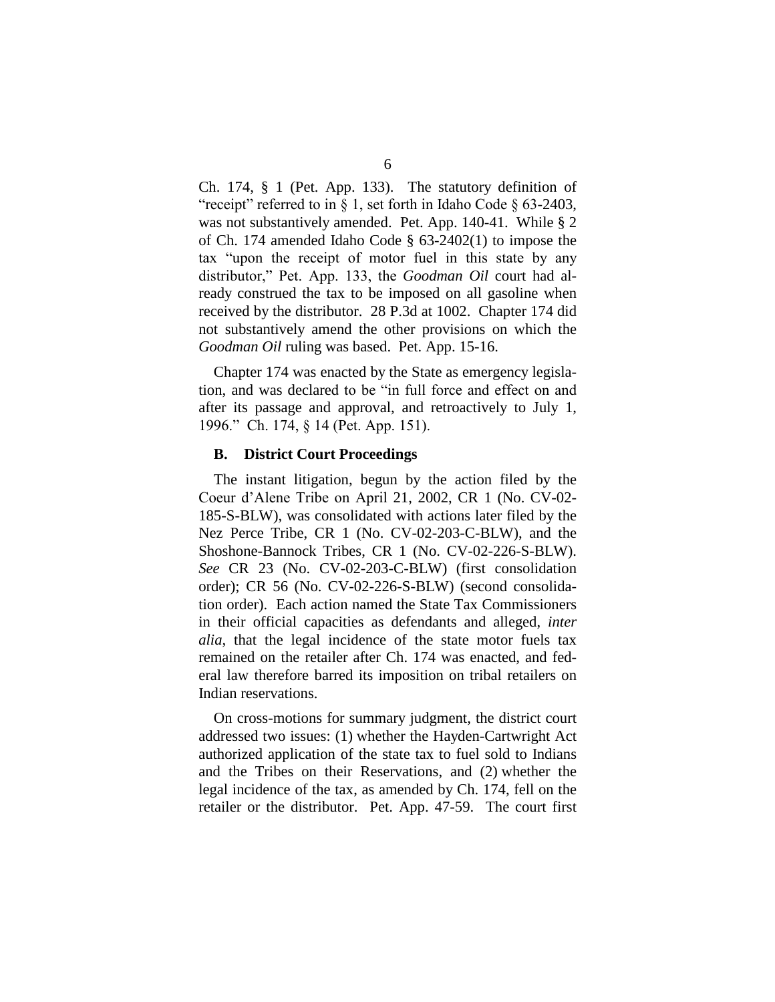Ch. 174, § 1 (Pet. App. 133). The statutory definition of "receipt" referred to in § 1, set forth in Idaho Code § 63-2403, was not substantively amended. Pet. App. 140-41. While § 2 of Ch. 174 amended Idaho Code § 63-2402(1) to impose the tax "upon the receipt of motor fuel in this state by any distributor," Pet. App. 133, the *Goodman Oil* court had already construed the tax to be imposed on all gasoline when received by the distributor. 28 P.3d at 1002. Chapter 174 did not substantively amend the other provisions on which the *Goodman Oil* ruling was based. Pet. App. 15-16.

Chapter 174 was enacted by the State as emergency legislation, and was declared to be "in full force and effect on and after its passage and approval, and retroactively to July 1, 1996." Ch. 174, § 14 (Pet. App. 151).

#### **B. District Court Proceedings**

The instant litigation, begun by the action filed by the Coeur d'Alene Tribe on April 21, 2002, CR 1 (No. CV-02-185-S-BLW), was consolidated with actions later filed by the Nez Perce Tribe, CR 1 (No. CV-02-203-C-BLW), and the Shoshone-Bannock Tribes, CR 1 (No. CV-02-226-S-BLW). *See* CR 23 (No. CV-02-203-C-BLW) (first consolidation order); CR 56 (No. CV-02-226-S-BLW) (second consolidation order). Each action named the State Tax Commissioners in their official capacities as defendants and alleged, *inter alia*, that the legal incidence of the state motor fuels tax remained on the retailer after Ch. 174 was enacted, and federal law therefore barred its imposition on tribal retailers on Indian reservations.

On cross-motions for summary judgment, the district court addressed two issues: (1) whether the Hayden-Cartwright Act authorized application of the state tax to fuel sold to Indians and the Tribes on their Reservations, and (2) whether the legal incidence of the tax, as amended by Ch. 174, fell on the retailer or the distributor. Pet. App. 47-59. The court first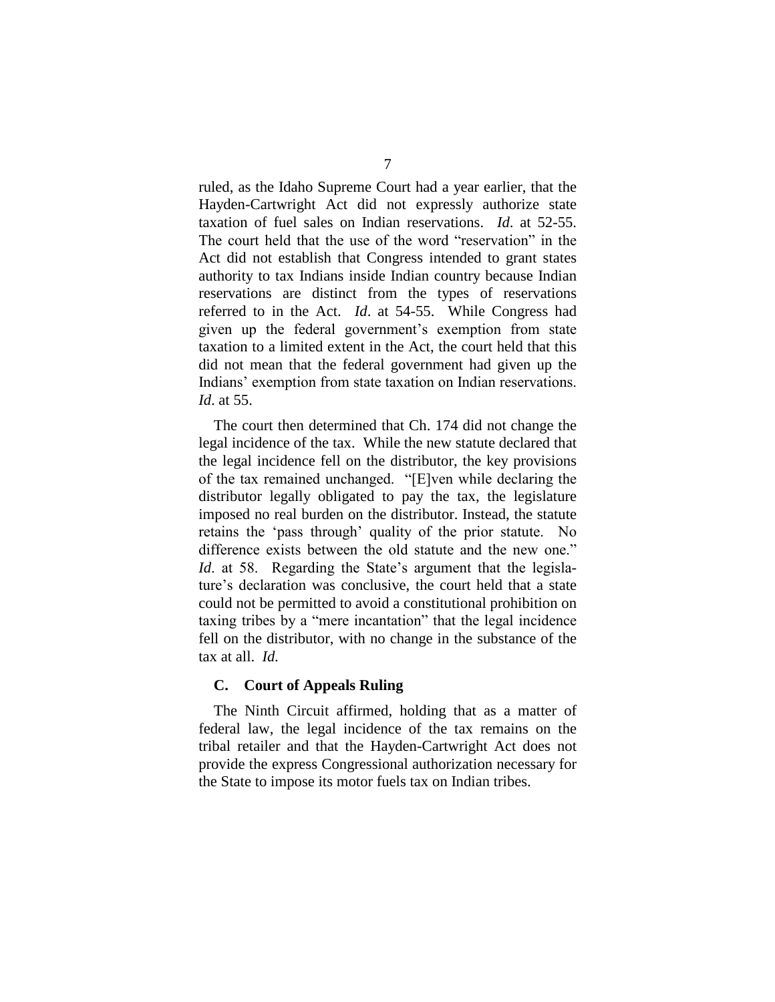ruled, as the Idaho Supreme Court had a year earlier, that the Hayden-Cartwright Act did not expressly authorize state taxation of fuel sales on Indian reservations. *Id*. at 52-55. The court held that the use of the word "reservation" in the Act did not establish that Congress intended to grant states authority to tax Indians inside Indian country because Indian reservations are distinct from the types of reservations referred to in the Act. *Id*. at 54-55. While Congress had given up the federal government's exemption from state taxation to a limited extent in the Act, the court held that this did not mean that the federal government had given up the Indians' exemption from state taxation on Indian reservations. *Id*. at 55.

The court then determined that Ch. 174 did not change the legal incidence of the tax. While the new statute declared that the legal incidence fell on the distributor, the key provisions of the tax remained unchanged. "[E]ven while declaring the distributor legally obligated to pay the tax, the legislature imposed no real burden on the distributor. Instead, the statute retains the 'pass through' quality of the prior statute. No difference exists between the old statute and the new one." *Id*. at 58. Regarding the State's argument that the legislature's declaration was conclusive, the court held that a state could not be permitted to avoid a constitutional prohibition on taxing tribes by a "mere incantation" that the legal incidence fell on the distributor, with no change in the substance of the tax at all. *Id.*

### **C. Court of Appeals Ruling**

The Ninth Circuit affirmed, holding that as a matter of federal law, the legal incidence of the tax remains on the tribal retailer and that the Hayden-Cartwright Act does not provide the express Congressional authorization necessary for the State to impose its motor fuels tax on Indian tribes.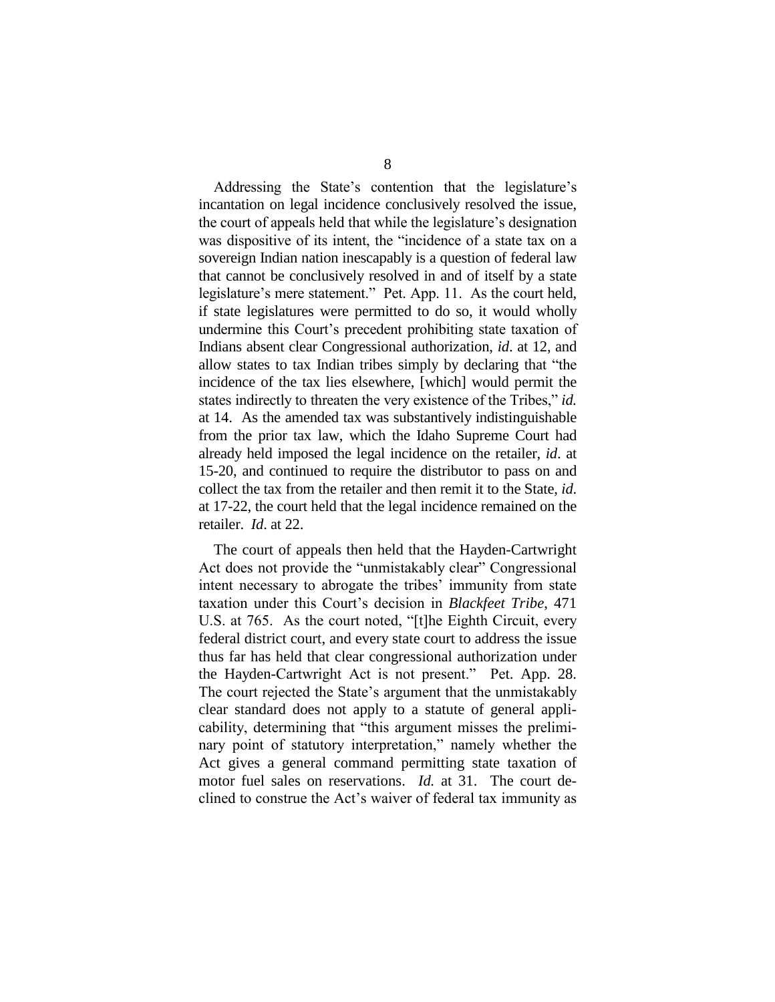Addressing the State's contention that the legislature's incantation on legal incidence conclusively resolved the issue, the court of appeals held that while the legislature's designation was dispositive of its intent, the "incidence of a state tax on a sovereign Indian nation inescapably is a question of federal law that cannot be conclusively resolved in and of itself by a state legislature's mere statement." Pet. App. 11. As the court held, if state legislatures were permitted to do so, it would wholly undermine this Court's precedent prohibiting state taxation of Indians absent clear Congressional authorization, *id*. at 12, and allow states to tax Indian tribes simply by declaring that "the incidence of the tax lies elsewhere, [which] would permit the states indirectly to threaten the very existence of the Tribes," *id.* at 14. As the amended tax was substantively indistinguishable from the prior tax law, which the Idaho Supreme Court had already held imposed the legal incidence on the retailer, *id*. at 15-20, and continued to require the distributor to pass on and collect the tax from the retailer and then remit it to the State, *id*. at 17-22, the court held that the legal incidence remained on the retailer. *Id*. at 22.

The court of appeals then held that the Hayden-Cartwright Act does not provide the "unmistakably clear" Congressional intent necessary to abrogate the tribes' immunity from state taxation under this Court's decision in *Blackfeet Tribe*, 471 U.S. at 765. As the court noted, "[t]he Eighth Circuit, every federal district court, and every state court to address the issue thus far has held that clear congressional authorization under the Hayden-Cartwright Act is not present." Pet. App. 28. The court rejected the State's argument that the unmistakably clear standard does not apply to a statute of general applicability, determining that "this argument misses the preliminary point of statutory interpretation," namely whether the Act gives a general command permitting state taxation of motor fuel sales on reservations. *Id.* at 31. The court declined to construe the Act's waiver of federal tax immunity as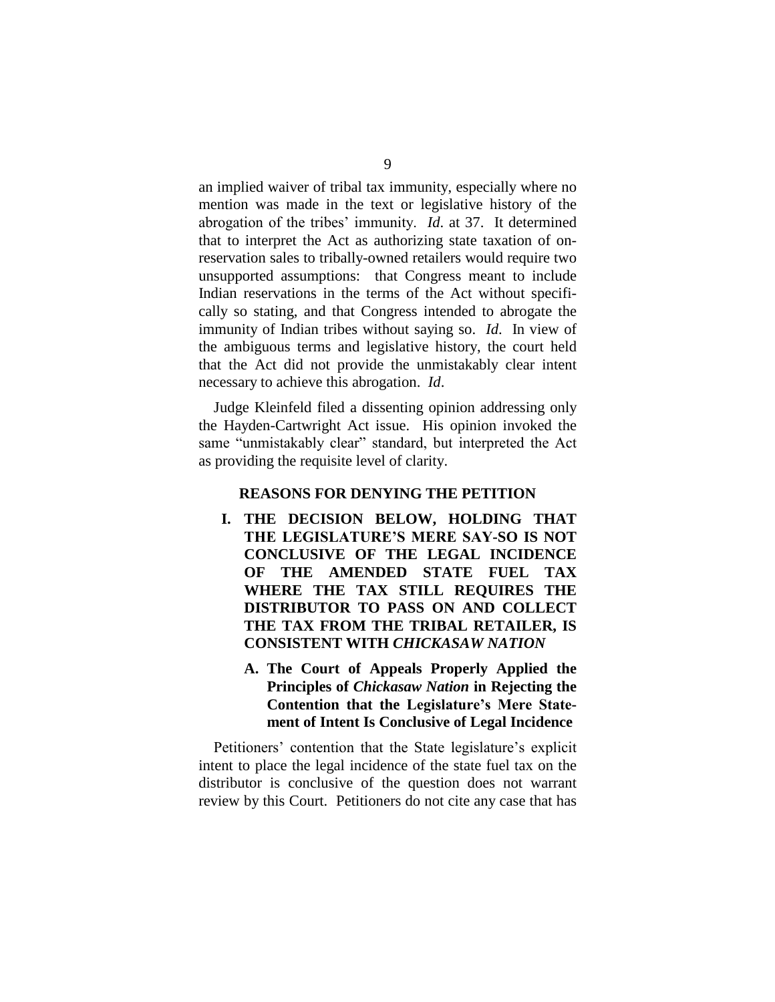an implied waiver of tribal tax immunity, especially where no mention was made in the text or legislative history of the abrogation of the tribes' immunity. *Id.* at 37. It determined that to interpret the Act as authorizing state taxation of onreservation sales to tribally-owned retailers would require two unsupported assumptions: that Congress meant to include Indian reservations in the terms of the Act without specifically so stating, and that Congress intended to abrogate the immunity of Indian tribes without saying so. *Id*. In view of the ambiguous terms and legislative history, the court held that the Act did not provide the unmistakably clear intent necessary to achieve this abrogation. *Id*.

Judge Kleinfeld filed a dissenting opinion addressing only the Hayden-Cartwright Act issue. His opinion invoked the same "unmistakably clear" standard, but interpreted the Act as providing the requisite level of clarity.

### **REASONS FOR DENYING THE PETITION**

- **I. THE DECISION BELOW, HOLDING THAT** THE LEGISLATURE'S MERE SAY-SO IS NOT **CONCLUSIVE OF THE LEGAL INCIDENCE OF THE AMENDED STATE FUEL TAX WHERE THE TAX STILL REQUIRES THE DISTRIBUTOR TO PASS ON AND COLLECT THE TAX FROM THE TRIBAL RETAILER, IS CONSISTENT WITH** *CHICKASAW NATION*
	- **A. The Court of Appeals Properly Applied the Principles of** *Chickasaw Nation* **in Rejecting the Contention that the Legislature's Mere Statement of Intent Is Conclusive of Legal Incidence**

Petitioners' contention that the State legislature's explicit intent to place the legal incidence of the state fuel tax on the distributor is conclusive of the question does not warrant review by this Court. Petitioners do not cite any case that has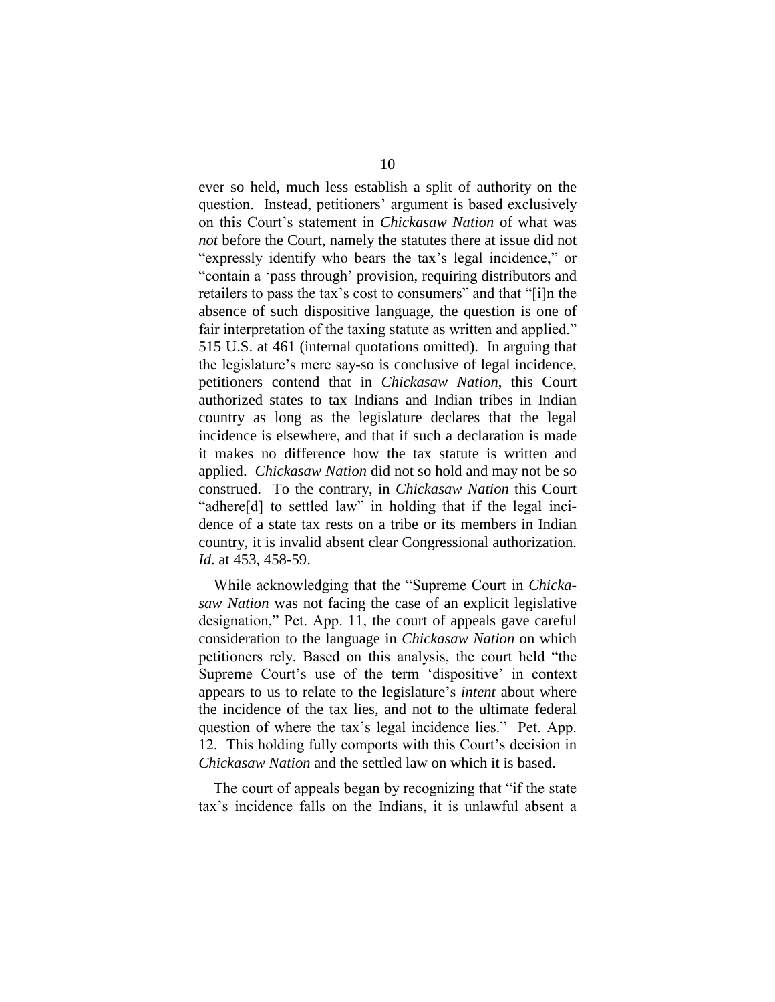ever so held, much less establish a split of authority on the question. Instead, petitioners' argument is based exclusively on this Court's statement in *Chickasaw Nation* of what was *not* before the Court, namely the statutes there at issue did not "expressly identify who bears the tax's legal incidence," or "contain a 'pass through' provision, requiring distributors and retailers to pass the tax's cost to consumers" and that "[i]n the absence of such dispositive language, the question is one of fair interpretation of the taxing statute as written and applied." 515 U.S. at 461 (internal quotations omitted). In arguing that the legislature's mere say-so is conclusive of legal incidence, petitioners contend that in *Chickasaw Nation*, this Court authorized states to tax Indians and Indian tribes in Indian country as long as the legislature declares that the legal incidence is elsewhere, and that if such a declaration is made it makes no difference how the tax statute is written and applied. *Chickasaw Nation* did not so hold and may not be so construed. To the contrary, in *Chickasaw Nation* this Court "adhere[d] to settled law" in holding that if the legal incidence of a state tax rests on a tribe or its members in Indian country, it is invalid absent clear Congressional authorization. *Id*. at 453, 458-59.

While acknowledging that the "Supreme Court in *Chickasaw Nation* was not facing the case of an explicit legislative designation,"Pet.App.11, the court of appeals gave careful consideration to the language in *Chickasaw Nation* on which petitioners rely. Based on this analysis, the court held "the Supreme Court's use of the term 'dispositive' in context appears to us to relate to the legislature's*intent* about where the incidence of the tax lies, and not to the ultimate federal question of where the tax's legal incidence lies." Pet. App. 12. This holding fully comports with this Court's decision in *Chickasaw Nation* and the settled law on which it is based.

The court of appeals began by recognizing that "if the state tax's incidence falls on the Indians, it is unlawful absent a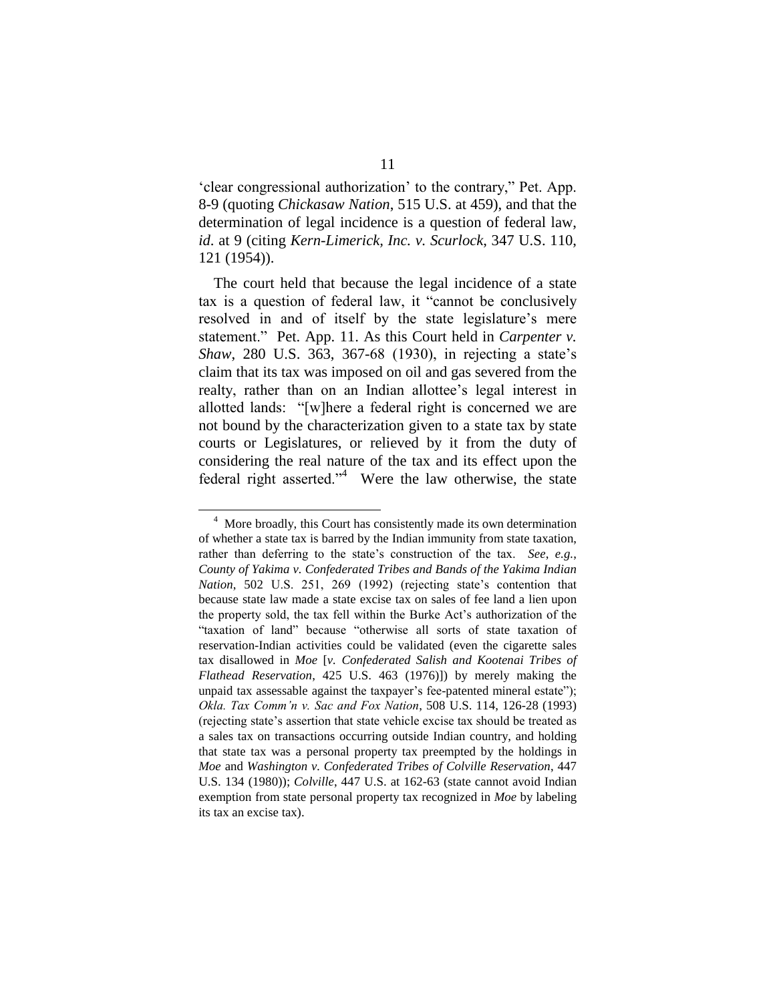'clear congressional authorization' to the contrary," Pet. App. 8-9 (quoting *Chickasaw Nation*, 515 U.S. at 459), and that the determination of legal incidence is a question of federal law, *id*. at 9 (citing *Kern-Limerick, Inc. v. Scurlock*, 347 U.S. 110, 121 (1954)).

The court held that because the legal incidence of a state tax is a question of federal law, it "cannot be conclusively resolved in and of itself by the state legislature's mere statement." Pet. App. 11. As this Court held in *Carpenter v. Shaw*, 280 U.S. 363, 367-68 (1930), in rejecting a state's claim that its tax was imposed on oil and gas severed from the realty, rather than on an Indian allottee's legal interest in allotted lands: "[w]here a federal right is concerned we are not bound by the characterization given to a state tax by state courts or Legislatures, or relieved by it from the duty of considering the real nature of the tax and its effect upon the federal right asserted."<sup>4</sup> Were the law otherwise, the state

<sup>&</sup>lt;sup>4</sup> More broadly, this Court has consistently made its own determination of whether a state tax is barred by the Indian immunity from state taxation, rather than deferring to the state's construction of the tax. *See, e.g.*, *County of Yakima v. Confederated Tribes and Bands of the Yakima Indian Nation*, 502 U.S. 251, 269 (1992) (rejecting state's contention that because state law made a state excise tax on sales of fee land a lien upon the property sold, the tax fell within the Burke Act's authorization of the "taxation of land" because "otherwise all sorts of state taxation of reservation-Indian activities could be validated (even the cigarette sales tax disallowed in *Moe* [*v. Confederated Salish and Kootenai Tribes of Flathead Reservation*, 425 U.S. 463 (1976)]) by merely making the unpaid tax assessable against the taxpayer's fee-patented mineral estate"); *Okla.TaxComm'nv.SacandFoxNation*, 508 U.S. 114, 126-28 (1993) (rejecting state's assertion that state vehicle excise tax should be treated as a sales tax on transactions occurring outside Indian country, and holding that state tax was a personal property tax preempted by the holdings in *Moe* and *Washington v. Confederated Tribes of Colville Reservation*, 447 U.S. 134 (1980)); *Colville*, 447 U.S. at 162-63 (state cannot avoid Indian exemption from state personal property tax recognized in *Moe* by labeling its tax an excise tax).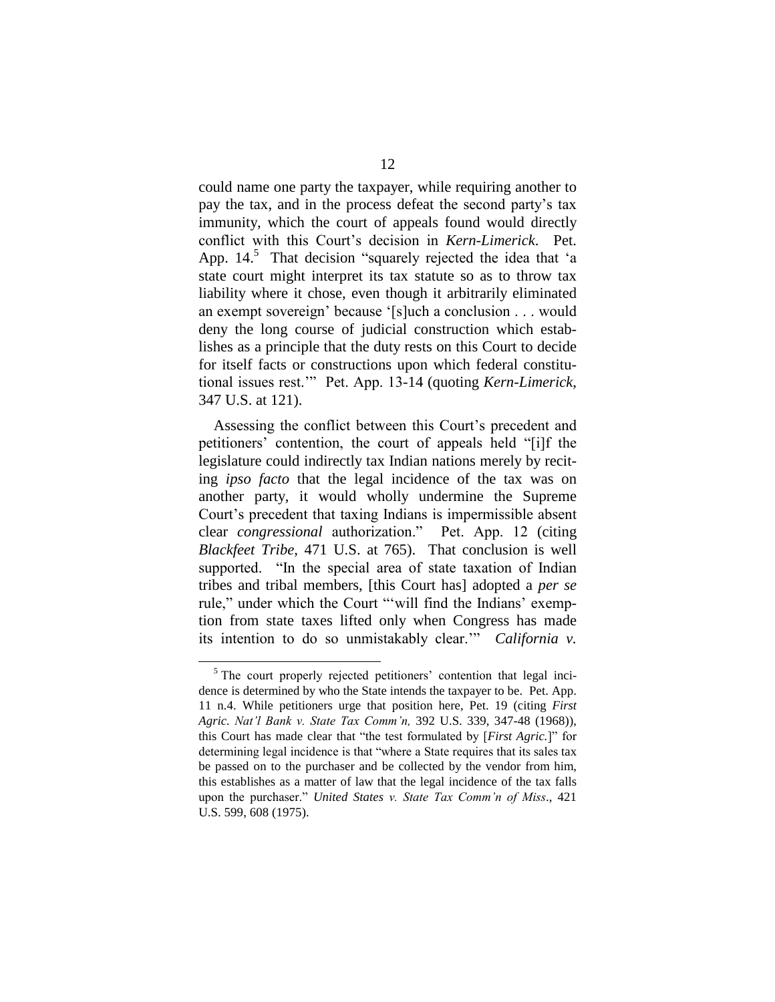could name one party the taxpayer, while requiring another to pay the tax, and in the process defeat the second party's tax immunity, which the court of appeals found would directly conflict with this Court's decision in *Kern-Limerick*. Pet. App.  $14<sup>5</sup>$  That decision "squarely rejected the idea that 'a state court might interpret its tax statute so as to throw tax liability where it chose, even though it arbitrarily eliminated an exempt sovereign' because '[s]uch a conclusion . . . would deny the long course of judicial construction which establishes as a principle that the duty rests on this Court to decide for itself facts or constructions upon which federal constitutional issues rest."" Pet. App. 13-14 (quoting *Kern-Limerick*, 347 U.S. at 121).

Assessing the conflict between this Court's precedent and petitioners' contention, the court of appeals held "[i]f the legislature could indirectly tax Indian nations merely by reciting *ipso facto* that the legal incidence of the tax was on another party, it would wholly undermine the Supreme Court's precedent that taxing Indians is impermissible absent clear *congressional* authorization." Pet.App.12(citing *Blackfeet Tribe*, 471 U.S. at 765). That conclusion is well supported. "In the special area of state taxation of Indian tribes and tribal members, [this Court has] adopted a *per se* rule," under which the Court "'will find the Indians' exemption from state taxes lifted only when Congress has made its intention to do so unmistakably clear." *California v.* 

 $5$  The court properly rejected petitioners' contention that legal incidence is determined by who the State intends the taxpayer to be. Pet. App. 11 n.4. While petitioners urge that position here, Pet. 19 (citing *First Agric. Nat'lBankv.StateTaxComm'n,*392 U.S. 339, 347-48 (1968)), this Court has made clear that "the test formulated by [*First Agric.*]" for determining legal incidence is that "where a State requires that its sales tax be passed on to the purchaser and be collected by the vendor from him, this establishes as a matter of law that the legal incidence of the tax falls upon the purchaser." United States *v. State Tax Comm'n of Miss.*, 421 U.S. 599, 608 (1975).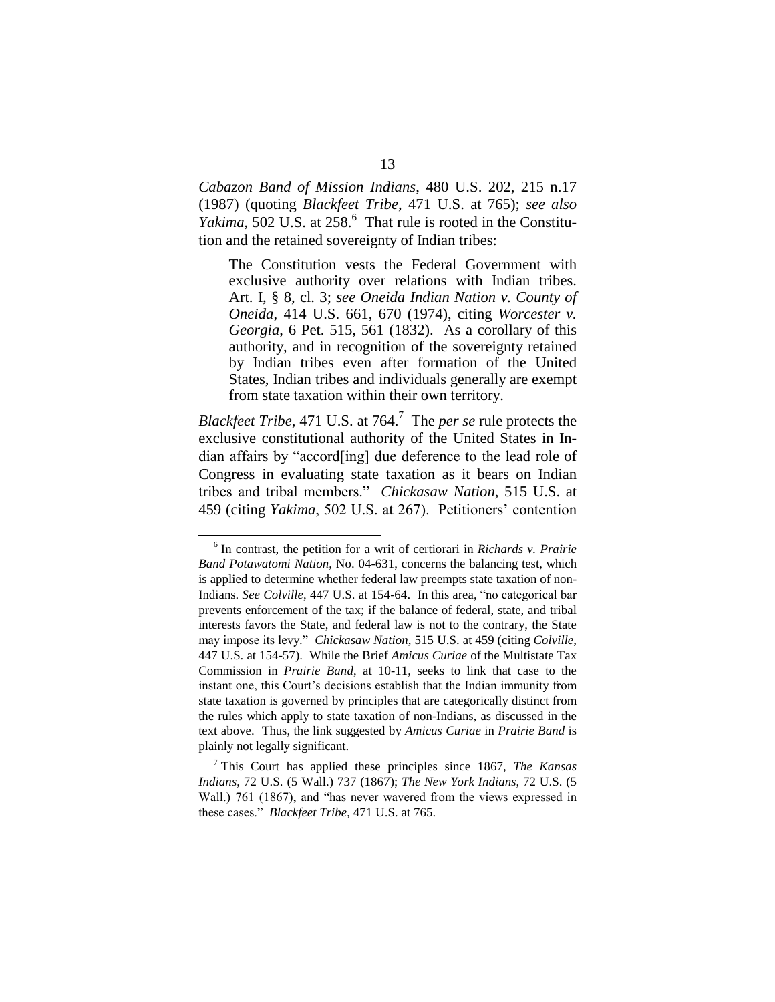*Cabazon Band of Mission Indians*, 480 U.S. 202, 215 n.17 (1987) (quoting *Blackfeet Tribe*, 471 U.S. at 765); *see also* Yakima, 502 U.S. at 258.<sup>6</sup> That rule is rooted in the Constitution and the retained sovereignty of Indian tribes:

The Constitution vests the Federal Government with exclusive authority over relations with Indian tribes. Art. I, § 8, cl. 3; *see Oneida Indian Nation v. County of Oneida*, 414 U.S. 661, 670 (1974), citing *Worcester v. Georgia*, 6 Pet. 515, 561 (1832). As a corollary of this authority, and in recognition of the sovereignty retained by Indian tribes even after formation of the United States, Indian tribes and individuals generally are exempt from state taxation within their own territory.

*Blackfeet Tribe*, 471 U.S. at 764.<sup>7</sup> The *per se* rule protects the exclusive constitutional authority of the United States in Indian affairs by "accord[ing] due deference to the lead role of Congress in evaluating state taxation as it bears on Indian tribes and tribal members." *Chickasaw Nation*, 515 U.S. at 459 (citing *Yakima*, 502 U.S. at 267). Petitioners' contention

<sup>6</sup> In contrast, the petition for a writ of certiorari in *Richards v. Prairie Band Potawatomi Nation*, No. 04-631, concerns the balancing test, which is applied to determine whether federal law preempts state taxation of non-Indians. *See Colville*, 447 U.S. at 154-64. In this area, "no categorical bar prevents enforcement of the tax; if the balance of federal, state, and tribal interests favors the State, and federal law is not to the contrary, the State mayimposeitslevy."*Chickasaw Nation*, 515 U.S. at 459 (citing *Colville*, 447 U.S. at 154-57). While the Brief *Amicus Curiae* of the Multistate Tax Commission in *Prairie Band*, at 10-11, seeks to link that case to the instant one, this Court's decisions establish that the Indian immunity from state taxation is governed by principles that are categorically distinct from the rules which apply to state taxation of non-Indians, as discussed in the text above. Thus, the link suggested by *Amicus Curiae* in *Prairie Band* is plainly not legally significant.

<sup>7</sup> This Court has applied these principles since 1867, *The Kansas Indians*, 72 U.S. (5 Wall.) 737 (1867); *The New York Indians*, 72 U.S. (5 Wall.) 761 (1867), and "has never wavered from the views expressed in these cases." *Blackfeet Tribe*, 471 U.S. at 765.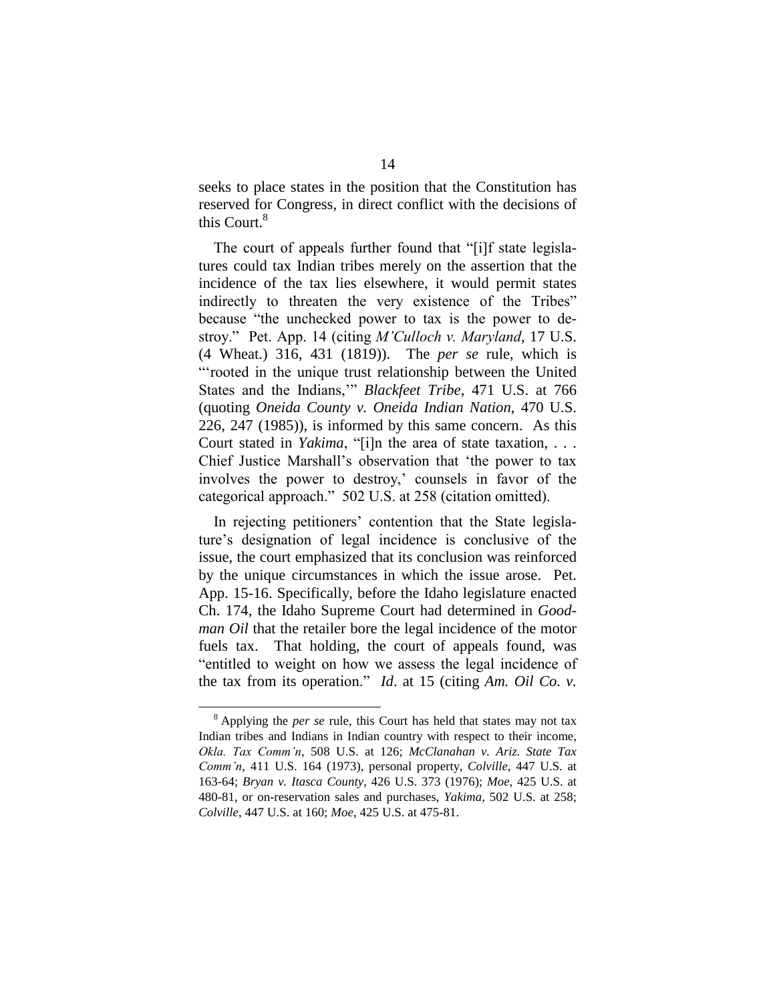seeks to place states in the position that the Constitution has reserved for Congress, in direct conflict with the decisions of this Court.<sup>8</sup>

The court of appeals further found that "[i]f state legislatures could tax Indian tribes merely on the assertion that the incidence of the tax lies elsewhere, it would permit states indirectly to threaten the very existence of the Tribes" because "the unchecked power to tax is the power to destroy." Pet. App. 14 (citing *M'Culloch v. Maryland*, 17 U.S.) (4 Wheat.) 316, 431 (1819)). The *per se* rule, which is "'rooted in the unique trust relationship between the United States and the Indians," *Blackfeet Tribe*, 471 U.S. at 766 (quoting *Oneida County v. Oneida Indian Nation*, 470 U.S. 226, 247 (1985)), is informed by this same concern. As this Court stated in *Yakima*, "[i]n the area of state taxation, . . . Chief Justice Marshall's observation that 'the power to tax involves the power to destroy,' counsels in favor of the categorical approach." 502 U.S. at 258 (citation omitted).

In rejecting petitioners' contention that the State legislature's designation of legal incidence is conclusive of the issue, the court emphasized that its conclusion was reinforced by the unique circumstances in which the issue arose. Pet. App. 15-16. Specifically, before the Idaho legislature enacted Ch. 174, the Idaho Supreme Court had determined in *Goodman Oil* that the retailer bore the legal incidence of the motor fuels tax. That holding, the court of appeals found, was "entitled to weight on how we assess the legal incidence of the tax from its operation." *Id*. at 15 (citing *Am. Oil Co. v.*

<sup>8</sup> Applying the *per se* rule, this Court has held that states may not tax Indian tribes and Indians in Indian country with respect to their income, *Okla.TaxComm'n*, 508 U.S. at 126; *McClanahan v. Ariz. State Tax Comm'n*, 411 U.S. 164 (1973), personal property, *Colville*, 447 U.S. at 163-64; *Bryan v. Itasca County*, 426 U.S. 373 (1976); *Moe*, 425 U.S. at 480-81, or on-reservation sales and purchases, *Yakima*, 502 U.S. at 258; *Colville*, 447 U.S. at 160; *Moe*, 425 U.S. at 475-81.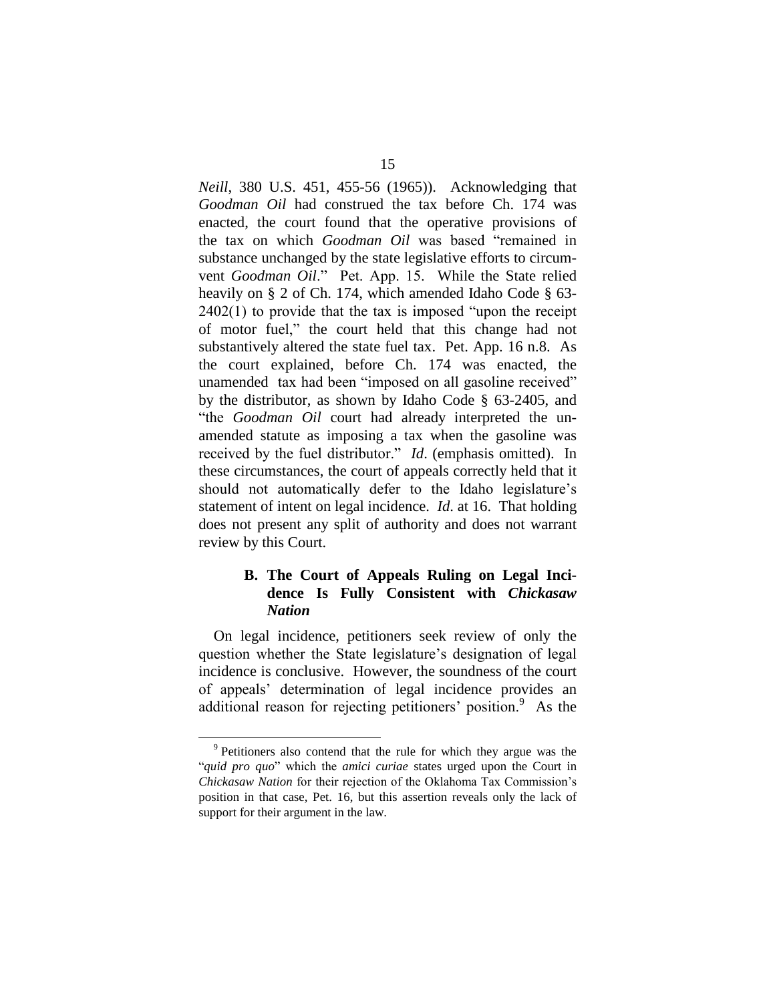*Neill*, 380 U.S. 451, 455-56 (1965)). Acknowledging that *Goodman Oil* had construed the tax before Ch. 174 was enacted, the court found that the operative provisions of the tax on which *Goodman Oil* was based "remained in substance unchanged by the state legislative efforts to circumvent *Goodman Oil*." Pet.App.15.While the State relied heavily on § 2 of Ch. 174, which amended Idaho Code § 63-  $2402(1)$  to provide that the tax is imposed "upon the receipt" of motor fuel," the court held that this change had not substantively altered the state fuel tax. Pet. App. 16 n.8. As the court explained, before Ch. 174 was enacted, the unamended tax had been "imposed on all gasoline received" by the distributor, as shown by Idaho Code § 63-2405, and "the*Goodman Oil* court had already interpreted the unamended statute as imposing a tax when the gasoline was received by the fuel distributor." *Id.* (emphasis omitted). In these circumstances, the court of appeals correctly held that it should not automatically defer to the Idaho legislature's statement of intent on legal incidence. *Id*. at 16. That holding does not present any split of authority and does not warrant review by this Court.

### **B. The Court of Appeals Ruling on Legal Incidence Is Fully Consistent with** *Chickasaw Nation*

On legal incidence, petitioners seek review of only the question whether the State legislature's designation of legal incidence is conclusive. However, the soundness of the court of appeals' determination of legal incidence provides an additional reason for rejecting petitioners' position.<sup>9</sup> As the

<sup>&</sup>lt;sup>9</sup> Petitioners also contend that the rule for which they argue was the "*quid pro quo*" which the *amici curiae* states urged upon the Court in *Chickasaw Nation* for their rejection of the Oklahoma Tax Commission's position in that case, Pet. 16, but this assertion reveals only the lack of support for their argument in the law.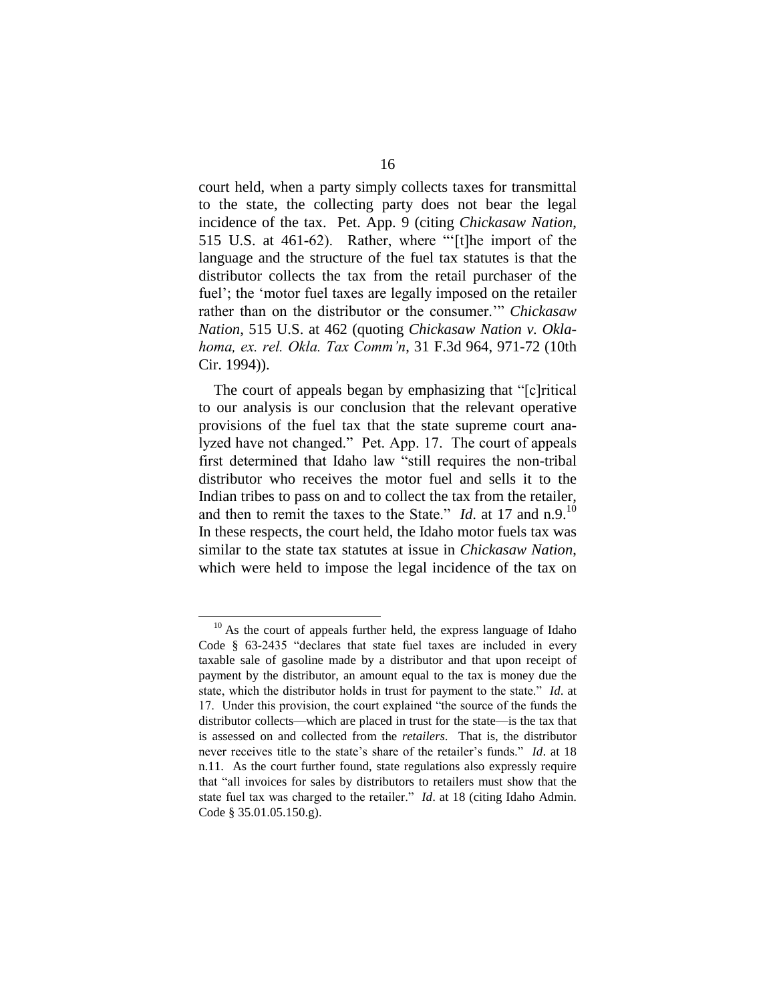court held, when a party simply collects taxes for transmittal to the state, the collecting party does not bear the legal incidence of the tax. Pet. App. 9 (citing *Chickasaw Nation*, 515 U.S. at 461-62). Rather, where "'[t]he import of the language and the structure of the fuel tax statutes is that the distributor collects the tax from the retail purchaser of the fuel'; the 'motor fuel taxes are legally imposed on the retailer rather than on the distributor or the consumer."" Chickasaw *Nation*, 515 U.S. at 462 (quoting *Chickasaw Nation v. Oklahoma,ex.rel.Okla.TaxComm'n*, 31 F.3d 964, 971-72 (10th Cir. 1994)).

The court of appeals began by emphasizing that "[c]ritical to our analysis is our conclusion that the relevant operative provisions of the fuel tax that the state supreme court analyzed have not changed." Pet. App. 17. The court of appeals first determined that Idaho law "still requires the non-tribal distributor who receives the motor fuel and sells it to the Indian tribes to pass on and to collect the tax from the retailer, and then to remit the taxes to the State." *Id.* at 17 and n.9.<sup>10</sup> In these respects, the court held, the Idaho motor fuels tax was similar to the state tax statutes at issue in *Chickasaw Nation*, which were held to impose the legal incidence of the tax on

 $10$  As the court of appeals further held, the express language of Idaho Code  $§$  63-2435 "declares that state fuel taxes are included in every taxable sale of gasoline made by a distributor and that upon receipt of payment by the distributor, an amount equal to the tax is money due the state, which the distributor holds in trust for payment to the state." *Id.* at 17. Under this provision, the court explained "the source of the funds the distributor collects—which are placed in trust for the state—is the tax that is assessed on and collected from the *retailers*. That is, the distributor never receives title to the state's share of the retailer's funds." *Id.* at 18 n.11. As the court further found, state regulations also expressly require that"allinvoices for sales by distributors to retailers must show that the state fuel tax was charged to the retailer." *Id.* at 18 (citing Idaho Admin. Code § 35.01.05.150.g).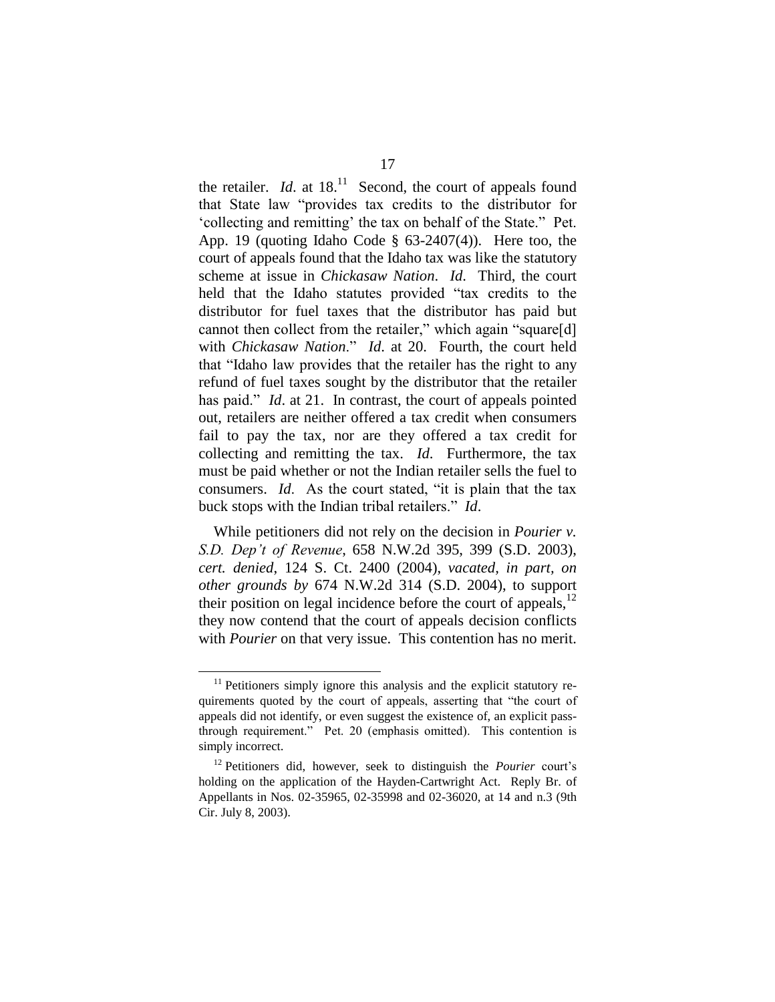the retailer. *Id.* at  $18^{11}$  Second, the court of appeals found that State law "provides tax credits to the distributor for 'collecting and remitting' the tax on behalf of the State." Pet. App. 19 (quoting Idaho Code  $\S$  63-2407(4)). Here too, the court of appeals found that the Idaho tax was like the statutory scheme at issue in *Chickasaw Nation*. *Id*. Third, the court held that the Idaho statutes provided "tax credits to the distributor for fuel taxes that the distributor has paid but cannot then collect from the retailer," which again "square[d] with *Chickasaw Nation*." *Id*. at 20. Fourth, the court held that "Idaho law provides that the retailer has the right to any refund of fuel taxes sought by the distributor that the retailer has paid." *Id.* at 21. In contrast, the court of appeals pointed out, retailers are neither offered a tax credit when consumers fail to pay the tax, nor are they offered a tax credit for collecting and remitting the tax. *Id*. Furthermore, the tax must be paid whether or not the Indian retailer sells the fuel to consumers. *Id*. As the court stated, "it is plain that the tax buck stops with the Indian tribal retailers." *Id*.

While petitioners did not rely on the decision in *Pourier v. S.D.Dep'tofRevenue*, 658 N.W.2d 395, 399 (S.D. 2003), *cert. denied*, 124 S. Ct. 2400 (2004), *vacated, in part, on other grounds by* 674 N.W.2d 314 (S.D. 2004), to support their position on legal incidence before the court of appeals,  $12$ they now contend that the court of appeals decision conflicts with *Pourier* on that very issue. This contention has no merit.

 $11$  Petitioners simply ignore this analysis and the explicit statutory requirements quoted by the court of appeals, asserting that "the court of appeals did not identify, or even suggest the existence of, an explicit passthrough requirement." Pet. 20 (emphasis omitted). This contention is simply incorrect.

<sup>12</sup> Petitioners did, however, seek to distinguish the *Pourier* court's holding on the application of the Hayden-Cartwright Act. Reply Br. of Appellants in Nos. 02-35965, 02-35998 and 02-36020, at 14 and n.3 (9th Cir. July 8, 2003).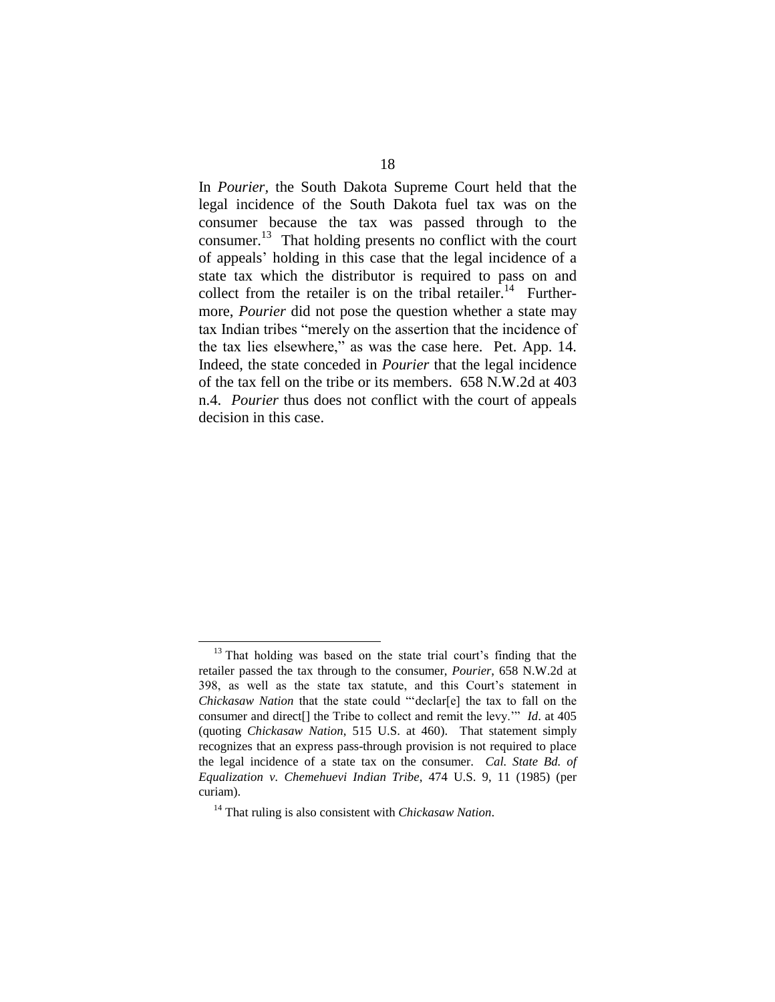In *Pourier,* the South Dakota Supreme Court held that the legal incidence of the South Dakota fuel tax was on the consumer because the tax was passed through to the consumer.<sup>13</sup> That holding presents no conflict with the court of appeals'holding in this case that the legal incidence of a state tax which the distributor is required to pass on and collect from the retailer is on the tribal retailer.<sup>14</sup> Furthermore, *Pourier* did not pose the question whether a state may tax Indian tribes "merely on the assertion that the incidence of the tax lies elsewhere," as was the case here. Pet. App. 14. Indeed, the state conceded in *Pourier* that the legal incidence of the tax fell on the tribe or its members. 658 N.W.2d at 403 n.4. *Pourier* thus does not conflict with the court of appeals decision in this case.

<sup>&</sup>lt;sup>13</sup> That holding was based on the state trial court's finding that the retailer passed the tax through to the consumer, *Pourier*, 658 N.W.2d at 398, as well as the state tax statute, and this Court's statement in *Chickasaw Nation* that the state could "'declar[e] the tax to fall on the consumer and direct[] the Tribe to collect and remit the levy." *Id.* at 405 (quoting *Chickasaw Nation*, 515 U.S. at 460). That statement simply recognizes that an express pass-through provision is not required to place the legal incidence of a state tax on the consumer. *Cal. State Bd. of Equalization v. Chemehuevi Indian Tribe*, 474 U.S. 9, 11 (1985) (per curiam).

<sup>14</sup> That ruling is also consistent with *Chickasaw Nation*.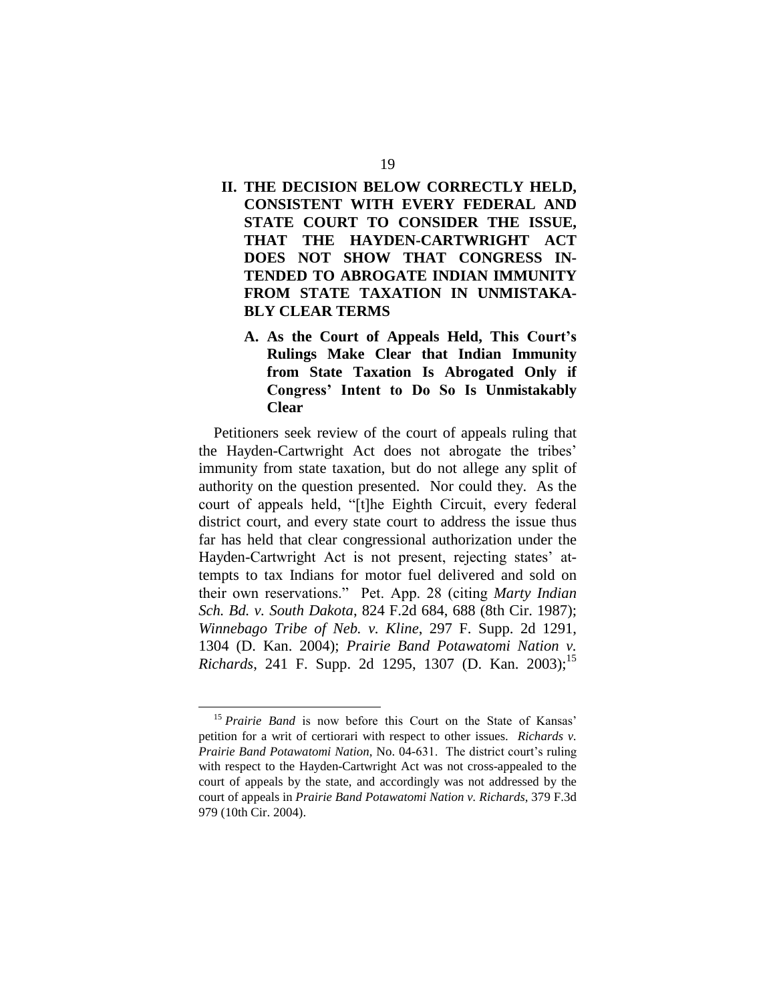## **II. THE DECISION BELOW CORRECTLY HELD, CONSISTENT WITH EVERY FEDERAL AND STATE COURT TO CONSIDER THE ISSUE, THAT THE HAYDEN-CARTWRIGHT ACT DOES NOT SHOW THAT CONGRESS IN-TENDED TO ABROGATE INDIAN IMMUNITY FROM STATE TAXATION IN UNMISTAKA-BLY CLEAR TERMS**

A. As the Court of Appeals Held, This Court's **Rulings Make Clear that Indian Immunity from State Taxation Is Abrogated Only if** Congress' Intent to Do So Is Unmistakably **Clear**

Petitioners seek review of the court of appeals ruling that the Hayden-Cartwright Act does not abrogate the tribes' immunity from state taxation, but do not allege any split of authority on the question presented. Nor could they. As the court of appeals held, "[t]he Eighth Circuit, every federal district court, and every state court to address the issue thus far has held that clear congressional authorization under the Hayden-Cartwright Act is not present, rejecting states' attempts to tax Indians for motor fuel delivered and sold on their own reservations." Pet. App. 28 (citing *Marty Indian*) *Sch. Bd. v. South Dakota*, 824 F.2d 684, 688 (8th Cir. 1987); *Winnebago Tribe of Neb. v. Kline*, 297 F. Supp. 2d 1291, 1304 (D. Kan. 2004); *Prairie Band Potawatomi Nation v. Richards*, 241 F. Supp. 2d 1295, 1307 (D. Kan. 2003);<sup>15</sup>

<sup>&</sup>lt;sup>15</sup> *Prairie Band* is now before this Court on the State of Kansas' petition for a writ of certiorari with respect to other issues. *Richards v. Prairie Band Potawatomi Nation, No. 04-631.* The district court's ruling with respect to the Hayden-Cartwright Act was not cross-appealed to the court of appeals by the state, and accordingly was not addressed by the court of appeals in *Prairie Band Potawatomi Nation v. Richards*, 379 F.3d 979 (10th Cir. 2004).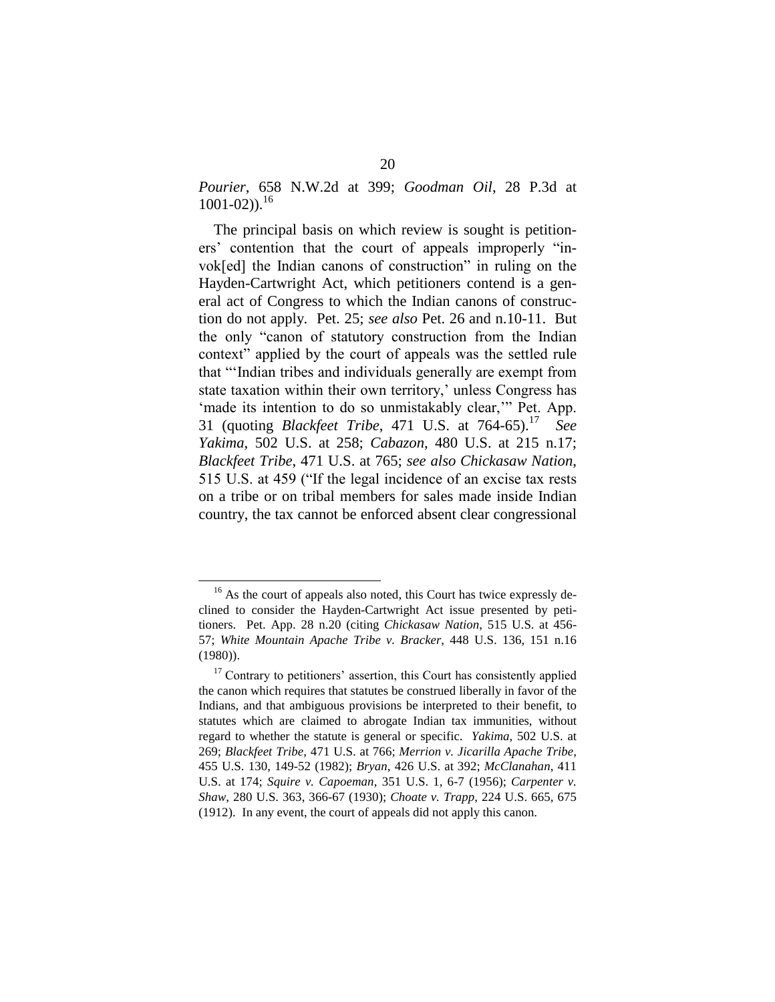*Pourier*, 658 N.W.2d at 399; *Goodman Oil*, 28 P.3d at  $1001 - 02$ )).<sup>16</sup>

The principal basis on which review is sought is petitioners' contention that the court of appeals improperly "invok[ed] the Indian canons of construction" in ruling on the Hayden-Cartwright Act, which petitioners contend is a general act of Congress to which the Indian canons of construction do not apply. Pet. 25; *see also* Pet. 26 and n.10-11. But the only "canon of statutory construction from the Indian context" applied by the court of appeals was the settled rule that "Indian tribes and individuals generally are exempt from state taxation within their own territory,' unless Congress has 'made its intention to do so unmistakably clear," Pet. App. 31 (quoting *Blackfeet Tribe*, 471 U.S. at 764-65).<sup>17</sup> *See Yakima*, 502 U.S. at 258; *Cabazon*, 480 U.S. at 215 n.17; *Blackfeet Tribe*, 471 U.S. at 765; *see also Chickasaw Nation*, 515 U.S. at 459 ("If the legal incidence of an excise tax rests") on a tribe or on tribal members for sales made inside Indian country, the tax cannot be enforced absent clear congressional

<sup>&</sup>lt;sup>16</sup> As the court of appeals also noted, this Court has twice expressly declined to consider the Hayden-Cartwright Act issue presented by petitioners. Pet. App. 28 n.20 (citing *Chickasaw Nation*, 515 U.S. at 456- 57; *White Mountain Apache Tribe v. Bracker*, 448 U.S. 136, 151 n.16 (1980)).

 $17$  Contrary to petitioners' assertion, this Court has consistently applied the canon which requires that statutes be construed liberally in favor of the Indians, and that ambiguous provisions be interpreted to their benefit, to statutes which are claimed to abrogate Indian tax immunities, without regard to whether the statute is general or specific. *Yakima*, 502 U.S. at 269; *Blackfeet Tribe*, 471 U.S. at 766; *Merrion v. Jicarilla Apache Tribe*, 455 U.S. 130, 149-52 (1982); *Bryan*, 426 U.S. at 392; *McClanahan*, 411 U.S. at 174; *Squire v. Capoeman*, 351 U.S. 1, 6-7 (1956); *Carpenter v. Shaw*, 280 U.S. 363, 366-67 (1930); *Choate v. Trapp*, 224 U.S. 665, 675 (1912). In any event, the court of appeals did not apply this canon.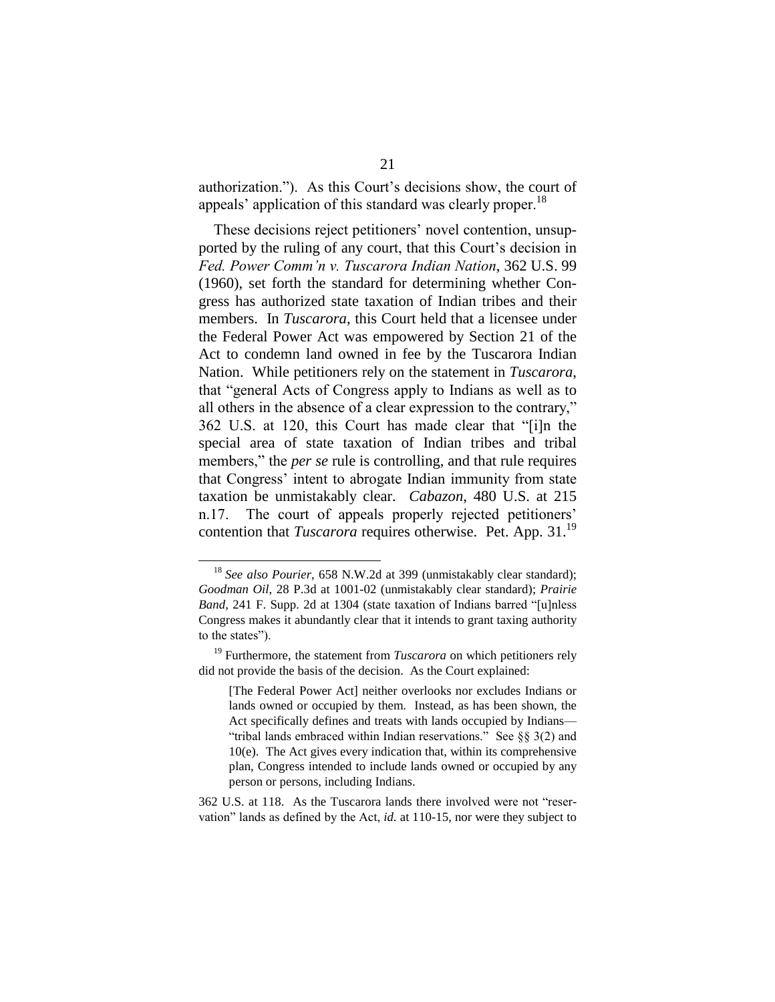authorization."). As this Court's decisions show, the court of appeals' application of this standard was clearly proper.<sup>18</sup>

These decisions reject petitioners' novel contention, unsupported by the ruling of any court, that this Court's decision in *Fed.PowerComm'nv.TuscaroraIndianNation*, 362 U.S. 99 (1960), set forth the standard for determining whether Congress has authorized state taxation of Indian tribes and their members. In *Tuscarora*, this Court held that a licensee under the Federal Power Act was empowered by Section 21 of the Act to condemn land owned in fee by the Tuscarora Indian Nation. While petitioners rely on the statement in *Tuscarora*, that "general Acts of Congress apply to Indians as well as to all others in the absence of a clear expression to the contrary," 362 U.S. at 120, this Court has made clear that "[i]n the special area of state taxation of Indian tribes and tribal members," the *per se* rule is controlling, and that rule requires that Congress' intent to abrogate Indian immunity from state taxation be unmistakably clear. *Cabazon*, 480 U.S. at 215 n.17. The court of appeals properly rejected petitioners' contention that *Tuscarora* requires otherwise. Pet. App. 31.<sup>19</sup>

362 U.S. at 118. As the Tuscarora lands there involved were not "reservation" lands as defined by the Act, *id.* at 110-15, nor were they subject to

<sup>&</sup>lt;sup>18</sup> *See also Pourier*, 658 N.W.2d at 399 (unmistakably clear standard); *Goodman Oil*, 28 P.3d at 1001-02 (unmistakably clear standard); *Prairie Band*, 241 F. Supp. 2d at 1304 (state taxation of Indians barred "[u]nless Congress makes it abundantly clear that it intends to grant taxing authority to the states").

<sup>&</sup>lt;sup>19</sup> Furthermore, the statement from *Tuscarora* on which petitioners rely did not provide the basis of the decision. As the Court explained:

<sup>[</sup>The Federal Power Act] neither overlooks nor excludes Indians or lands owned or occupied by them. Instead, as has been shown, the Act specifically defines and treats with lands occupied by Indians— "tribal lands embraced within Indian reservations." See  $\S$ § 3(2) and 10(e). The Act gives every indication that, within its comprehensive plan, Congress intended to include lands owned or occupied by any person or persons, including Indians.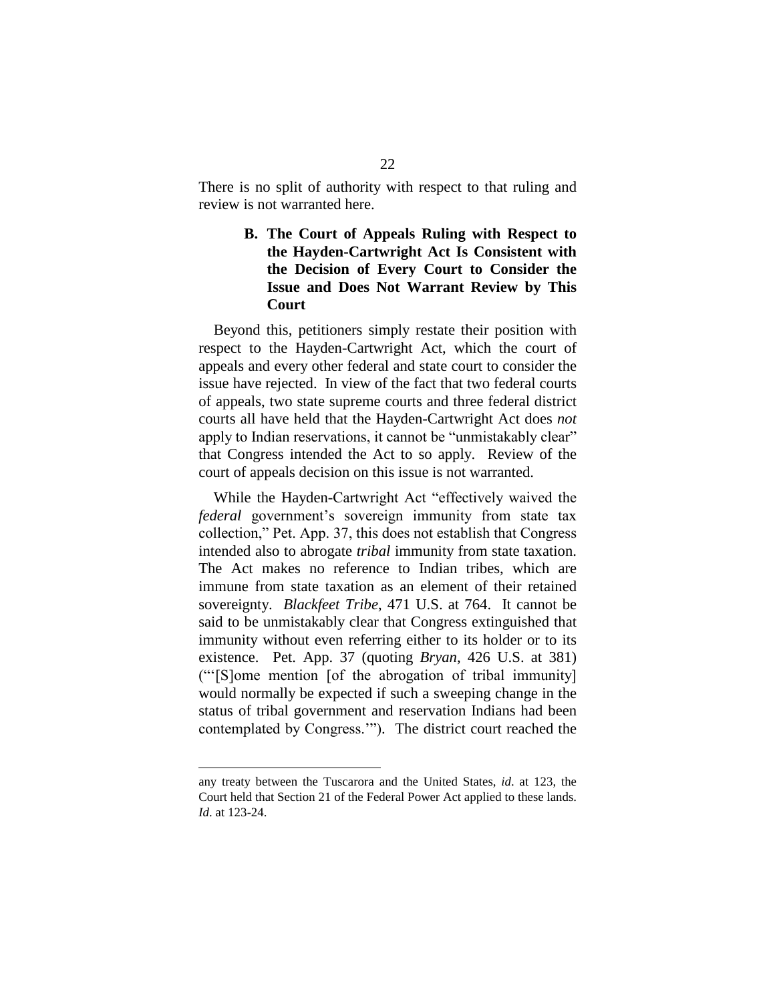There is no split of authority with respect to that ruling and review is not warranted here.

## **B. The Court of Appeals Ruling with Respect to the Hayden-Cartwright Act Is Consistent with the Decision of Every Court to Consider the Issue and Does Not Warrant Review by This Court**

Beyond this, petitioners simply restate their position with respect to the Hayden-Cartwright Act, which the court of appeals and every other federal and state court to consider the issue have rejected. In view of the fact that two federal courts of appeals, two state supreme courts and three federal district courts all have held that the Hayden-Cartwright Act does *not* apply to Indian reservations, it cannot be "unmistakably clear" that Congress intended the Act to so apply. Review of the court of appeals decision on this issue is not warranted.

While the Hayden-Cartwright Act "effectively waived the *federal* government's sovereign immunity from state tax collection," Pet. App. 37, this does not establish that Congress intended also to abrogate *tribal* immunity from state taxation. The Act makes no reference to Indian tribes, which are immune from state taxation as an element of their retained sovereignty. *Blackfeet Tribe*, 471 U.S. at 764. It cannot be said to be unmistakably clear that Congress extinguished that immunity without even referring either to its holder or to its existence. Pet. App. 37 (quoting *Bryan*, 426 U.S. at 381)  $("[S]ome mention [of the abrogation of tribal immunity]$ would normally be expected if such a sweeping change in the status of tribal government and reservation Indians had been contemplated by Congress.'"). The district court reached the

any treaty between the Tuscarora and the United States, *id*. at 123, the Court held that Section 21 of the Federal Power Act applied to these lands. *Id*. at 123-24.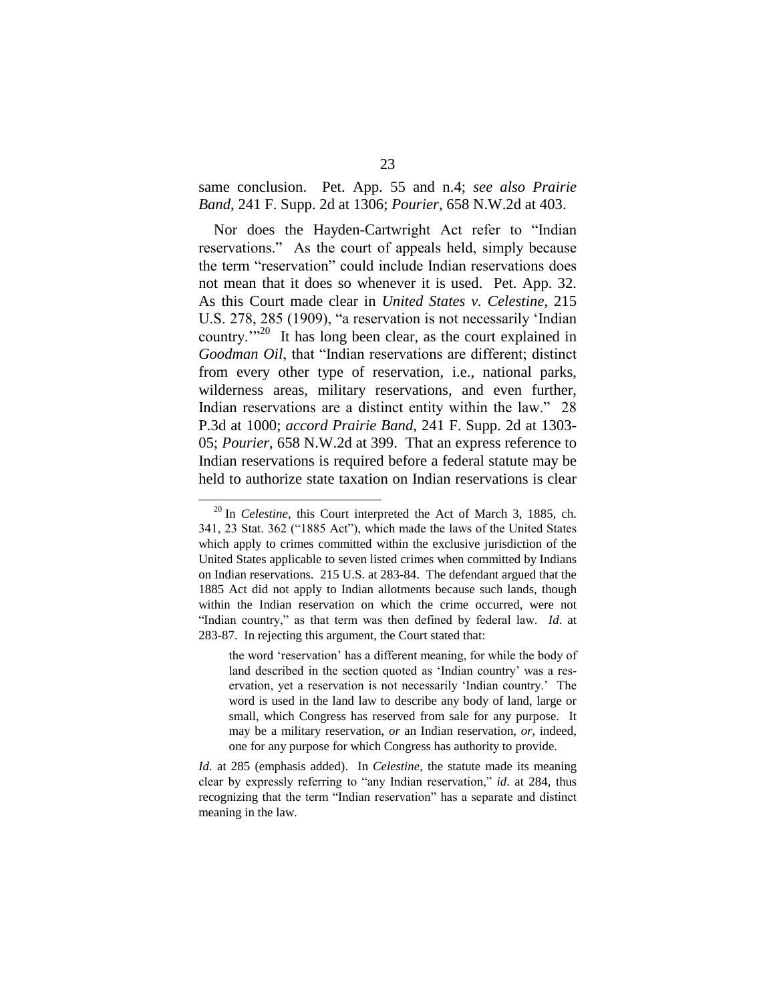same conclusion. Pet. App. 55 and n.4; *see also Prairie Band*, 241 F. Supp. 2d at 1306; *Pourier*, 658 N.W.2d at 403.

Nor does the Hayden-Cartwright Act refer to "Indian reservations." As the court of appeals held, simply because the term "reservation" could include Indian reservations does not mean that it does so whenever it is used. Pet. App. 32. As this Court made clear in *United States v. Celestine*, 215 U.S. 278, 285 (1909), "a reservation is not necessarily 'Indian country. $1^{320}$  It has long been clear, as the court explained in Goodman Oil, that "Indian reservations are different; distinct from every other type of reservation, i.e., national parks, wilderness areas, military reservations, and even further, Indian reservations are a distinct entity within the law." 28 P.3d at 1000; *accord Prairie Band*, 241 F. Supp. 2d at 1303- 05; *Pourier*, 658 N.W.2d at 399. That an express reference to Indian reservations is required before a federal statute may be held to authorize state taxation on Indian reservations is clear

<sup>20</sup> In *Celestine*, this Court interpreted the Act of March 3, 1885, ch. 341, 23 Stat. 362 ("1885 Act"), which made the laws of the United States which apply to crimes committed within the exclusive jurisdiction of the United States applicable to seven listed crimes when committed by Indians on Indian reservations. 215 U.S. at 283-84. The defendant argued that the 1885 Act did not apply to Indian allotments because such lands, though within the Indian reservation on which the crime occurred, were not "Indian country," as that term was then defined by federal law. Id. at 283-87. In rejecting this argument, the Court stated that:

the word 'reservation' has a different meaning, for while the body of land described in the section quoted as 'Indian country' was a reservation, yet a reservation is not necessarily 'Indian country.' The word is used in the land law to describe any body of land, large or small, which Congress has reserved from sale for any purpose. It may be a military reservation, *or* an Indian reservation, *or*, indeed, one for any purpose for which Congress has authority to provide.

*Id.* at 285 (emphasis added). In *Celestine*, the statute made its meaning clear by expressly referring to "any Indian reservation," *id.* at 284, thus recognizing that the term "Indian reservation" has a separate and distinct meaning in the law.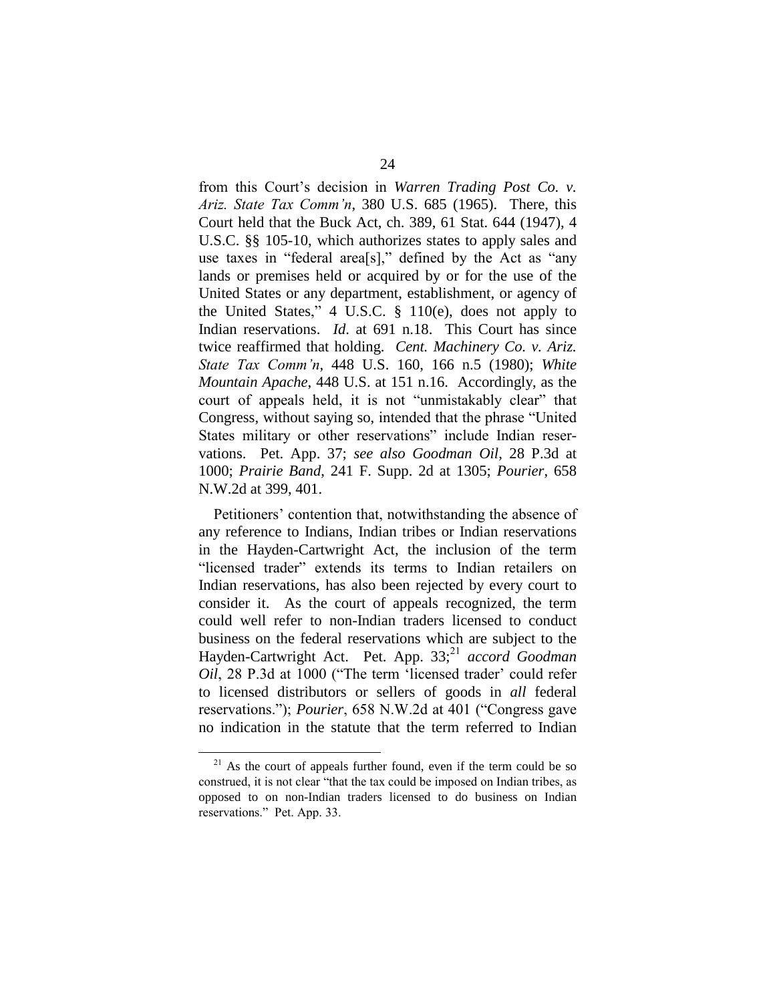from this Court's decision in Warren Trading Post Co. v. *Ariz. State Tax Comm'n, 380 U.S. 685 (1965). There, this* Court held that the Buck Act, ch. 389, 61 Stat. 644 (1947), 4 U.S.C. §§ 105-10, which authorizes states to apply sales and use taxes in "federal area[s]," defined by the Act as "any lands or premises held or acquired by or for the use of the United States or any department, establishment, or agency of the United States,"  $4 \text{ U.S.C. }$   $§$   $110(e)$ , does not apply to Indian reservations. *Id*. at 691 n.18. This Court has since twice reaffirmed that holding. *Cent. Machinery Co. v. Ariz. StateTaxComm'n*, 448 U.S. 160, 166 n.5 (1980); *White Mountain Apache*, 448 U.S. at 151 n.16. Accordingly, as the court of appeals held, it is not "unmistakably clear" that Congress, without saying so, intended that the phrase "United" States military or other reservations" include Indian reservations. Pet. App. 37; *see also Goodman Oil*, 28 P.3d at 1000; *Prairie Band*, 241 F. Supp. 2d at 1305; *Pourier*, 658 N.W.2d at 399, 401.

Petitioners' contention that, notwithstanding the absence of any reference to Indians, Indian tribes or Indian reservations in the Hayden-Cartwright Act, the inclusion of the term "licensed trader" extends its terms to Indian retailers on Indian reservations, has also been rejected by every court to consider it. As the court of appeals recognized, the term could well refer to non-Indian traders licensed to conduct business on the federal reservations which are subject to the Hayden-Cartwright Act. Pet. App. 33; *accord Goodman Oil*, 28 P.3d at 1000 ("The term 'licensed trader' could refer to licensed distributors or sellers of goods in *all* federal reservations."); *Pourier*, 658 N.W.2d at 401 ("Congress gave no indication in the statute that the term referred to Indian

 $21$  As the court of appeals further found, even if the term could be so construed, it is not clear "that the tax could be imposed on Indian tribes, as opposed to on non-Indian traders licensed to do business on Indian reservations." Pet. App. 33.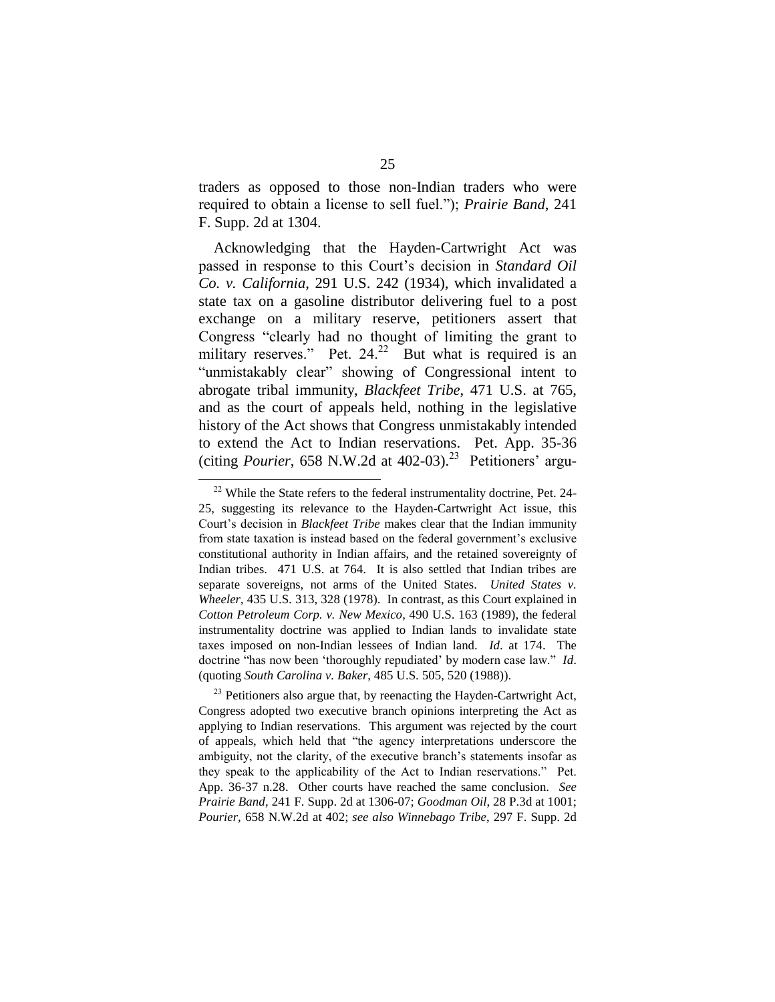traders as opposed to those non-Indian traders who were required to obtain a license to sell fuel."); *Prairie Band*, 241 F. Supp. 2d at 1304.

Acknowledging that the Hayden-Cartwright Act was passed in response to this Court's decision in *Standard Oil Co. v. California*, 291 U.S. 242 (1934), which invalidated a state tax on a gasoline distributor delivering fuel to a post exchange on a military reserve, petitioners assert that Congress "clearly had no thought of limiting the grant to military reserves." Pet.  $24.22$  But what is required is an "unmistakably clear" showing of Congressional intent to abrogate tribal immunity, *Blackfeet Tribe*, 471 U.S. at 765, and as the court of appeals held, nothing in the legislative history of the Act shows that Congress unmistakably intended to extend the Act to Indian reservations. Pet. App. 35-36 (citing *Pourier*, 658 N.W.2d at  $402-03$ ).<sup>23</sup> Petitioners' argu-

 $22$  While the State refers to the federal instrumentality doctrine, Pet. 24-25, suggesting its relevance to the Hayden-Cartwright Act issue, this Court's decision in *Blackfeet Tribe* makes clear that the Indian immunity from state taxation is instead based on the federal government's exclusive constitutional authority in Indian affairs, and the retained sovereignty of Indian tribes. 471 U.S. at 764. It is also settled that Indian tribes are separate sovereigns, not arms of the United States. *United States v. Wheeler*, 435 U.S. 313, 328 (1978). In contrast, as this Court explained in *Cotton Petroleum Corp. v. New Mexico*, 490 U.S. 163 (1989), the federal instrumentality doctrine was applied to Indian lands to invalidate state taxes imposed on non-Indian lessees of Indian land. *Id*. at 174. The doctrine "has now been 'thoroughly repudiated' by modern case law." *Id*. (quoting *South Carolina v. Baker*, 485 U.S. 505, 520 (1988)).

 $23$  Petitioners also argue that, by reenacting the Hayden-Cartwright Act, Congress adopted two executive branch opinions interpreting the Act as applying to Indian reservations. This argument was rejected by the court of appeals, which held that "the agency interpretations underscore the ambiguity, not the clarity, of the executive branch's statements insofar as they speak to the applicability of the Act to Indian reservations." Pet. App. 36-37 n.28. Other courts have reached the same conclusion. *See Prairie Band*, 241 F. Supp. 2d at 1306-07; *Goodman Oil*, 28 P.3d at 1001; *Pourier*, 658 N.W.2d at 402; *see also Winnebago Tribe*, 297 F. Supp. 2d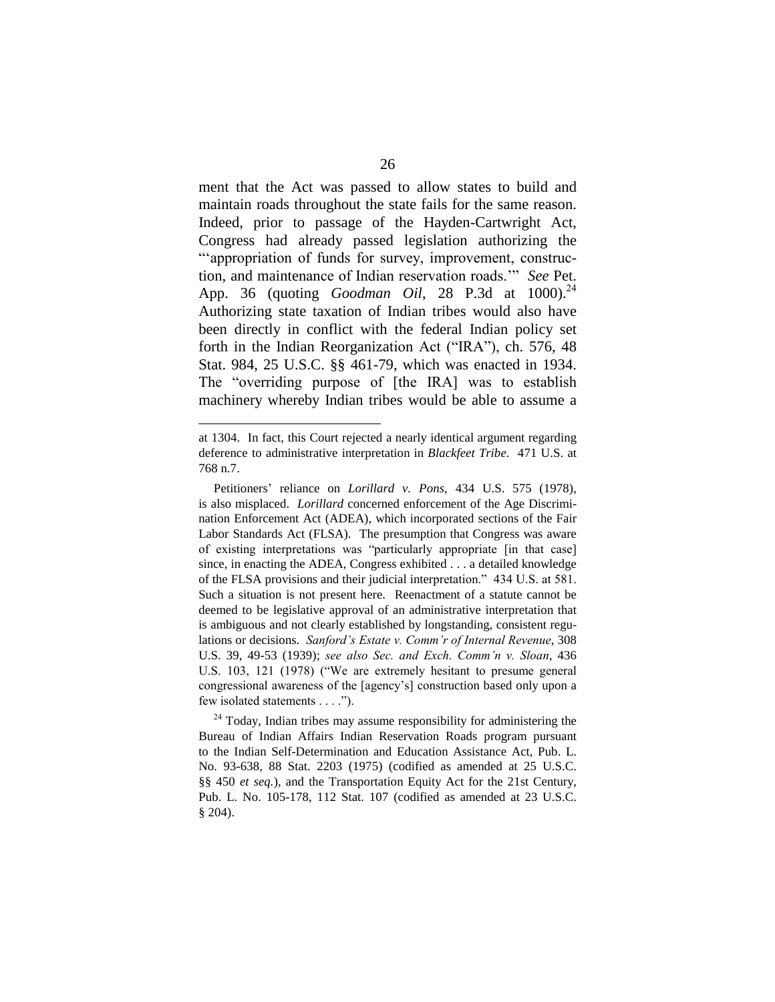ment that the Act was passed to allow states to build and maintain roads throughout the state fails for the same reason. Indeed, prior to passage of the Hayden-Cartwright Act, Congress had already passed legislation authorizing the "appropriation of funds for survey, improvement, construction, and maintenance of Indian reservation roads." See Pet. App. 36 (quoting *Goodman Oil*, 28 P.3d at 1000). Authorizing state taxation of Indian tribes would also have been directly in conflict with the federal Indian policy set forth in the Indian Reorganization Act ("IRA"), ch. 576, 48 Stat. 984, 25 U.S.C. §§ 461-79, which was enacted in 1934. The "overriding purpose of [the IRA] was to establish machinery whereby Indian tribes would be able to assume a

at 1304. In fact, this Court rejected a nearly identical argument regarding deference to administrative interpretation in *Blackfeet Tribe*. 471 U.S. at 768 n.7.

Petitioners' reliance on *Lorillard v. Pons*, 434 U.S. 575 (1978), is also misplaced. *Lorillard* concerned enforcement of the Age Discrimination Enforcement Act (ADEA), which incorporated sections of the Fair Labor Standards Act (FLSA). The presumption that Congress was aware of existing interpretations was "particularly appropriate [in that case] since, in enacting the ADEA, Congress exhibited . . . a detailed knowledge of the FLSA provisions and their judicial interpretation."434U.S.at581. Such a situation is not present here. Reenactment of a statute cannot be deemed to be legislative approval of an administrative interpretation that is ambiguous and not clearly established by longstanding, consistent regulations or decisions. *Sanford's Estate v. Comm'r of Internal Revenue*, 308 U.S. 39, 49-53 (1939); *see also Sec. and Exch. Comm'n v. Sloan*, 436 U.S. 103, 121 (1978) ("We are extremely hesitant to presume general congressional awareness of the [agency's] construction based only upon a few isolated statements . . . .").

 $24$  Today, Indian tribes may assume responsibility for administering the Bureau of Indian Affairs Indian Reservation Roads program pursuant to the Indian Self-Determination and Education Assistance Act, Pub. L. No. 93-638, 88 Stat. 2203 (1975) (codified as amended at 25 U.S.C. §§ 450 *et seq.*), and the Transportation Equity Act for the 21st Century, Pub. L. No. 105-178, 112 Stat. 107 (codified as amended at 23 U.S.C. § 204).